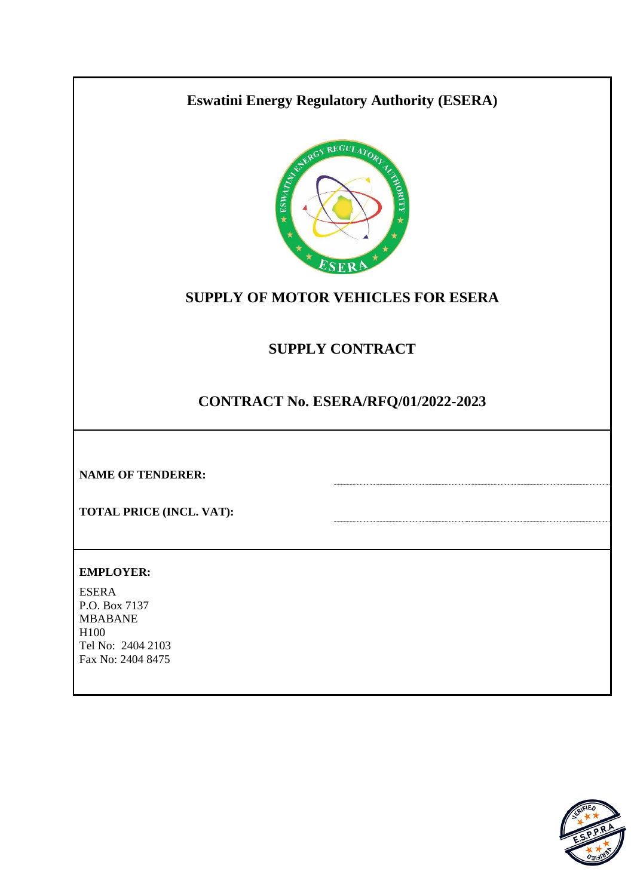# **Eswatini Energy Regulatory Authority (ESERA)** REGULATOR ESWATT 8 F **SUPPLY OF MOTOR VEHICLES FOR ESERA SUPPLY CONTRACT CONTRACT No. ESERA/RFQ/01/2022-2023 NAME OF TENDERER: TOTAL PRICE (INCL. VAT): EMPLOYER:** ESERA P.O. Box 7137 MBABANE H100 Tel No: 2404 2103 Fax No: 2404 8475

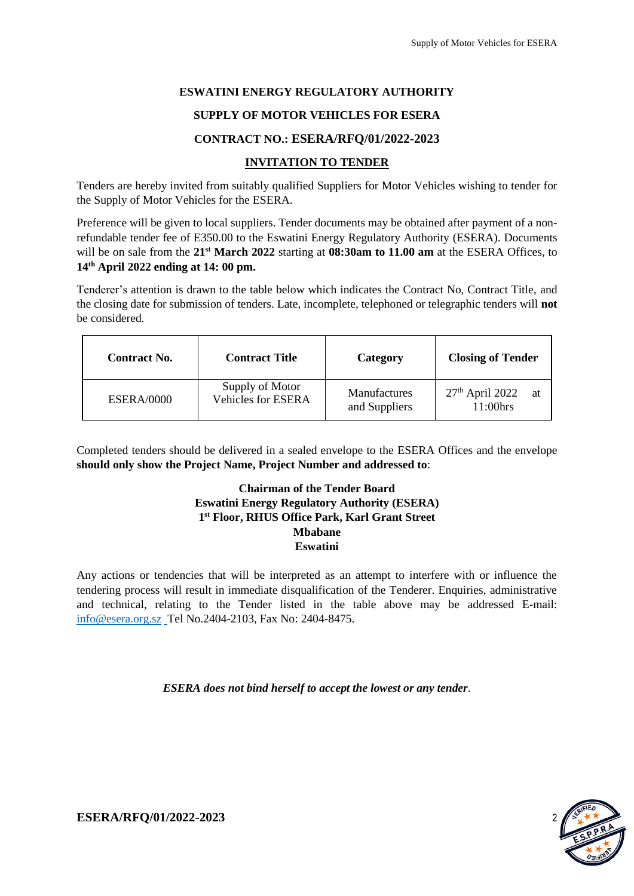## **ESWATINI ENERGY REGULATORY AUTHORITY**

# **SUPPLY OF MOTOR VEHICLES FOR ESERA**

## **CONTRACT NO.: ESERA/RFQ/01/2022-2023**

#### **INVITATION TO TENDER**

Tenders are hereby invited from suitably qualified Suppliers for Motor Vehicles wishing to tender for the Supply of Motor Vehicles for the ESERA.

Preference will be given to local suppliers. Tender documents may be obtained after payment of a nonrefundable tender fee of E350.00 to the Eswatini Energy Regulatory Authority (ESERA). Documents will be on sale from the **21st March 2022** starting at **08:30am to 11.00 am** at the ESERA Offices, to **14th April 2022 ending at 14: 00 pm.** 

Tenderer's attention is drawn to the table below which indicates the Contract No, Contract Title, and the closing date for submission of tenders. Late, incomplete, telephoned or telegraphic tenders will **not**  be considered.

| <b>Contract No.</b> | <b>Contract Title</b>                        | Category                             | <b>Closing of Tender</b>            |  |
|---------------------|----------------------------------------------|--------------------------------------|-------------------------------------|--|
| ESERA/0000          | Supply of Motor<br><b>Vehicles for ESERA</b> | <b>Manufactures</b><br>and Suppliers | $27th$ April 2022<br>at<br>11:00hrs |  |

Completed tenders should be delivered in a sealed envelope to the ESERA Offices and the envelope **should only show the Project Name, Project Number and addressed to**:

## **Chairman of the Tender Board Eswatini Energy Regulatory Authority (ESERA) 1 st Floor, RHUS Office Park, Karl Grant Street Mbabane Eswatini**

Any actions or tendencies that will be interpreted as an attempt to interfere with or influence the tendering process will result in immediate disqualification of the Tenderer. Enquiries, administrative and technical, relating to the Tender listed in the table above may be addressed E-mail: [info@esera.org.sz](mailto:info@esera.org.sz) Tel No.2404-2103, Fax No: 2404-8475.

*ESERA does not bind herself to accept the lowest or any tender.*

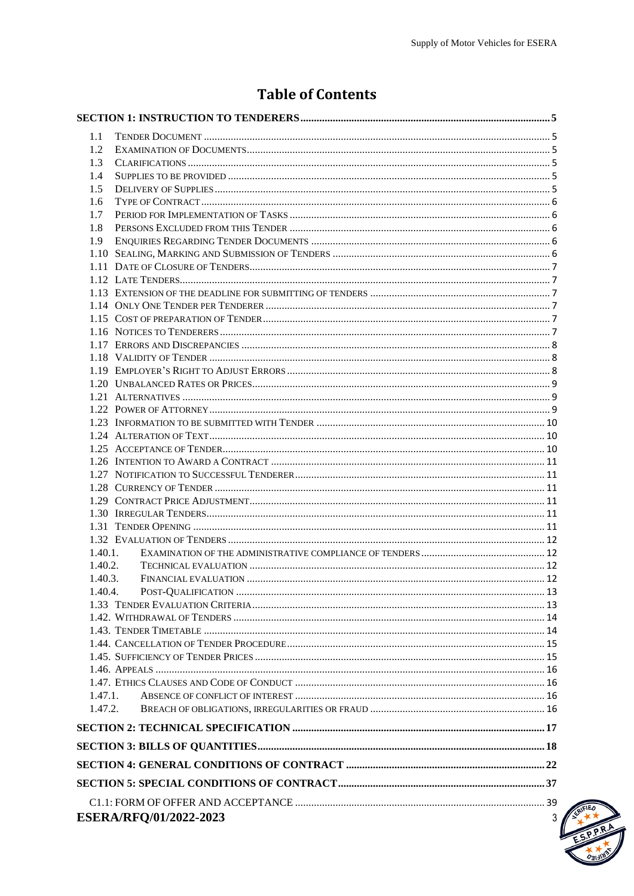# **Table of Contents**

| 1.1     |                        |   |  |  |  |  |
|---------|------------------------|---|--|--|--|--|
| 1.2     |                        |   |  |  |  |  |
| 1.3     |                        |   |  |  |  |  |
| 1.4     |                        |   |  |  |  |  |
| 1.5     |                        |   |  |  |  |  |
| 1.6     |                        |   |  |  |  |  |
| 1.7     |                        |   |  |  |  |  |
| 1.8     |                        |   |  |  |  |  |
| 1.9     |                        |   |  |  |  |  |
|         |                        |   |  |  |  |  |
|         |                        |   |  |  |  |  |
|         |                        |   |  |  |  |  |
|         |                        |   |  |  |  |  |
|         |                        |   |  |  |  |  |
|         |                        |   |  |  |  |  |
|         |                        |   |  |  |  |  |
|         |                        |   |  |  |  |  |
|         |                        |   |  |  |  |  |
|         |                        |   |  |  |  |  |
|         |                        |   |  |  |  |  |
|         |                        |   |  |  |  |  |
|         |                        |   |  |  |  |  |
|         |                        |   |  |  |  |  |
|         |                        |   |  |  |  |  |
|         |                        |   |  |  |  |  |
|         |                        |   |  |  |  |  |
|         |                        |   |  |  |  |  |
|         |                        |   |  |  |  |  |
|         |                        |   |  |  |  |  |
|         |                        |   |  |  |  |  |
|         |                        |   |  |  |  |  |
| 1.40.1. |                        |   |  |  |  |  |
| 1.40.2. |                        |   |  |  |  |  |
| 1.40.3. |                        |   |  |  |  |  |
| 1.40.4. |                        |   |  |  |  |  |
|         |                        |   |  |  |  |  |
|         |                        |   |  |  |  |  |
|         |                        |   |  |  |  |  |
|         |                        |   |  |  |  |  |
|         |                        |   |  |  |  |  |
|         |                        |   |  |  |  |  |
|         |                        |   |  |  |  |  |
| 1.47.1. |                        |   |  |  |  |  |
| 1.47.2. |                        |   |  |  |  |  |
|         |                        |   |  |  |  |  |
|         |                        |   |  |  |  |  |
|         |                        |   |  |  |  |  |
|         |                        |   |  |  |  |  |
|         |                        |   |  |  |  |  |
|         | ESERA/RFQ/01/2022-2023 | 3 |  |  |  |  |

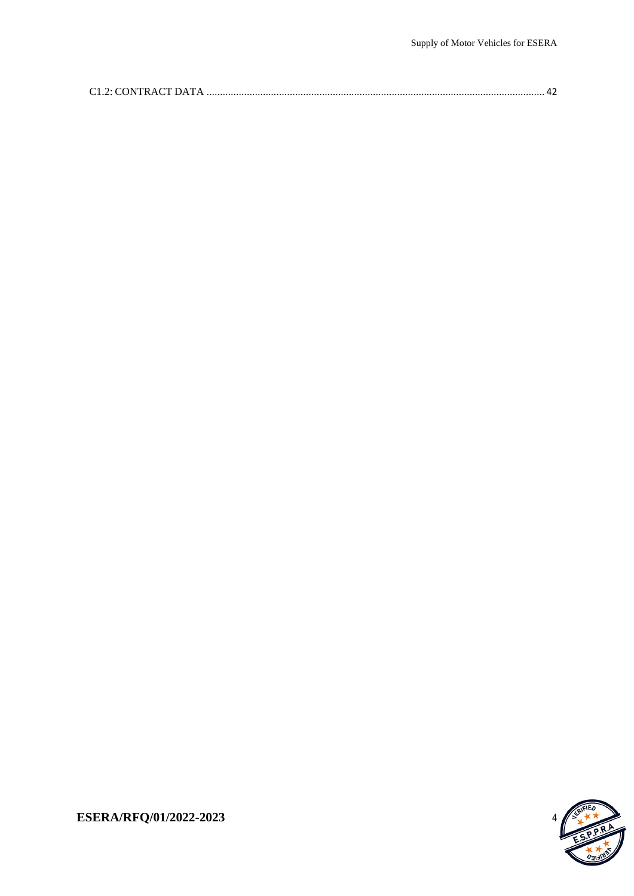| $C1.2$ CONTRACT |  |
|-----------------|--|
|                 |  |

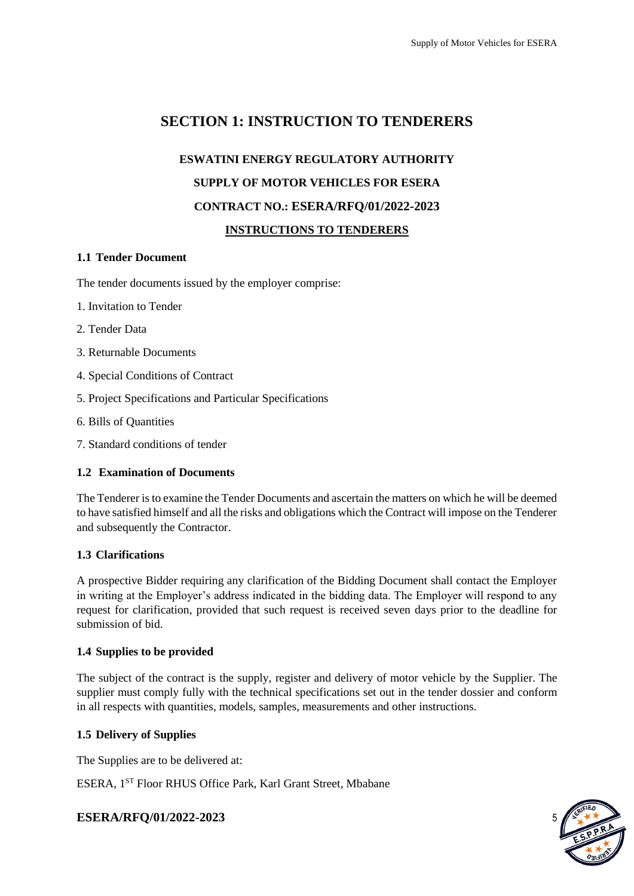# <span id="page-4-0"></span>**SECTION 1: INSTRUCTION TO TENDERERS**

# **ESWATINI ENERGY REGULATORY AUTHORITY SUPPLY OF MOTOR VEHICLES FOR ESERA CONTRACT NO.: ESERA/RFQ/01/2022-2023 INSTRUCTIONS TO TENDERERS**

#### <span id="page-4-1"></span>**1.1 Tender Document**

The tender documents issued by the employer comprise:

- 1. Invitation to Tender
- 2. Tender Data
- 3. Returnable Documents
- 4. Special Conditions of Contract
- 5. Project Specifications and Particular Specifications
- 6. Bills of Quantities
- 7. Standard conditions of tender

## <span id="page-4-2"></span>**1.2 Examination of Documents**

The Tenderer is to examine the Tender Documents and ascertain the matters on which he will be deemed to have satisfied himself and all the risks and obligations which the Contract will impose on the Tenderer and subsequently the Contractor.

## <span id="page-4-3"></span>**1.3 Clarifications**

A prospective Bidder requiring any clarification of the Bidding Document shall contact the Employer in writing at the Employer's address indicated in the bidding data. The Employer will respond to any request for clarification, provided that such request is received seven days prior to the deadline for submission of bid.

#### <span id="page-4-4"></span>**1.4 Supplies to be provided**

The subject of the contract is the supply, register and delivery of motor vehicle by the Supplier. The supplier must comply fully with the technical specifications set out in the tender dossier and conform in all respects with quantities, models, samples, measurements and other instructions.

## <span id="page-4-5"></span>**1.5 Delivery of Supplies**

The Supplies are to be delivered at:

ESERA, 1<sup>ST</sup> Floor RHUS Office Park, Karl Grant Street, Mbabane

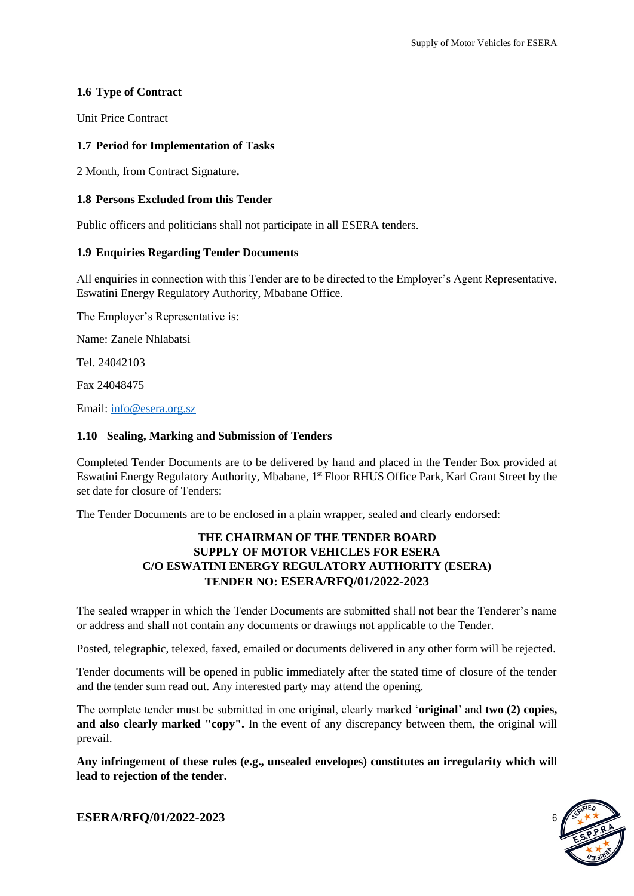# <span id="page-5-0"></span>**1.6 Type of Contract**

Unit Price Contract

## <span id="page-5-1"></span>**1.7 Period for Implementation of Tasks**

2 Month, from Contract Signature**.** 

#### <span id="page-5-2"></span>**1.8 Persons Excluded from this Tender**

Public officers and politicians shall not participate in all ESERA tenders.

#### <span id="page-5-3"></span>**1.9 Enquiries Regarding Tender Documents**

All enquiries in connection with this Tender are to be directed to the Employer's Agent Representative, Eswatini Energy Regulatory Authority, Mbabane Office.

The Employer's Representative is:

Name: Zanele Nhlabatsi

Tel. 24042103

Fax 24048475

Email: [info@esera.org.sz](mailto:info@esera.org.sz)

#### <span id="page-5-4"></span>**1.10 Sealing, Marking and Submission of Tenders**

Completed Tender Documents are to be delivered by hand and placed in the Tender Box provided at Eswatini Energy Regulatory Authority, Mbabane, 1<sup>st</sup> Floor RHUS Office Park, Karl Grant Street by the set date for closure of Tenders:

The Tender Documents are to be enclosed in a plain wrapper, sealed and clearly endorsed:

## **THE CHAIRMAN OF THE TENDER BOARD SUPPLY OF MOTOR VEHICLES FOR ESERA C/O ESWATINI ENERGY REGULATORY AUTHORITY (ESERA) TENDER NO: ESERA/RFQ/01/2022-2023**

The sealed wrapper in which the Tender Documents are submitted shall not bear the Tenderer's name or address and shall not contain any documents or drawings not applicable to the Tender.

Posted, telegraphic, telexed, faxed, emailed or documents delivered in any other form will be rejected.

Tender documents will be opened in public immediately after the stated time of closure of the tender and the tender sum read out. Any interested party may attend the opening.

The complete tender must be submitted in one original, clearly marked '**original**' and **two (2) copies, and also clearly marked "copy".** In the event of any discrepancy between them, the original will prevail.

**Any infringement of these rules (e.g., unsealed envelopes) constitutes an irregularity which will lead to rejection of the tender.** 

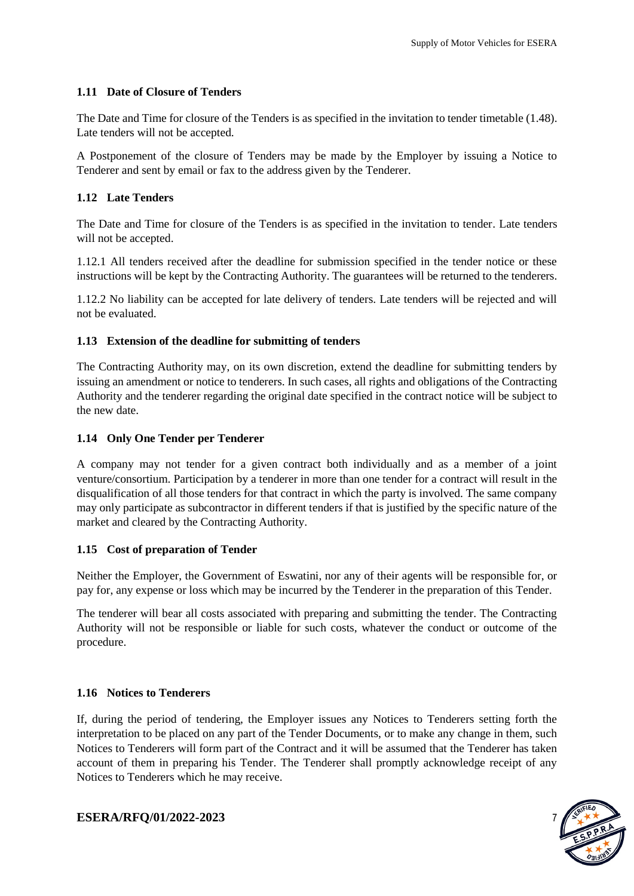# <span id="page-6-0"></span>**1.11 Date of Closure of Tenders**

The Date and Time for closure of the Tenders is as specified in the invitation to tender timetable (1.48). Late tenders will not be accepted.

A Postponement of the closure of Tenders may be made by the Employer by issuing a Notice to Tenderer and sent by email or fax to the address given by the Tenderer.

## <span id="page-6-1"></span>**1.12 Late Tenders**

The Date and Time for closure of the Tenders is as specified in the invitation to tender. Late tenders will not be accepted.

1.12.1 All tenders received after the deadline for submission specified in the tender notice or these instructions will be kept by the Contracting Authority. The guarantees will be returned to the tenderers.

1.12.2 No liability can be accepted for late delivery of tenders. Late tenders will be rejected and will not be evaluated.

## <span id="page-6-2"></span>**1.13 Extension of the deadline for submitting of tenders**

The Contracting Authority may, on its own discretion, extend the deadline for submitting tenders by issuing an amendment or notice to tenderers. In such cases, all rights and obligations of the Contracting Authority and the tenderer regarding the original date specified in the contract notice will be subject to the new date.

## <span id="page-6-3"></span>**1.14 Only One Tender per Tenderer**

A company may not tender for a given contract both individually and as a member of a joint venture/consortium. Participation by a tenderer in more than one tender for a contract will result in the disqualification of all those tenders for that contract in which the party is involved. The same company may only participate as subcontractor in different tenders if that is justified by the specific nature of the market and cleared by the Contracting Authority.

## <span id="page-6-4"></span>**1.15 Cost of preparation of Tender**

Neither the Employer, the Government of Eswatini, nor any of their agents will be responsible for, or pay for, any expense or loss which may be incurred by the Tenderer in the preparation of this Tender.

The tenderer will bear all costs associated with preparing and submitting the tender. The Contracting Authority will not be responsible or liable for such costs, whatever the conduct or outcome of the procedure.

## <span id="page-6-5"></span>**1.16 Notices to Tenderers**

If, during the period of tendering, the Employer issues any Notices to Tenderers setting forth the interpretation to be placed on any part of the Tender Documents, or to make any change in them, such Notices to Tenderers will form part of the Contract and it will be assumed that the Tenderer has taken account of them in preparing his Tender. The Tenderer shall promptly acknowledge receipt of any Notices to Tenderers which he may receive.

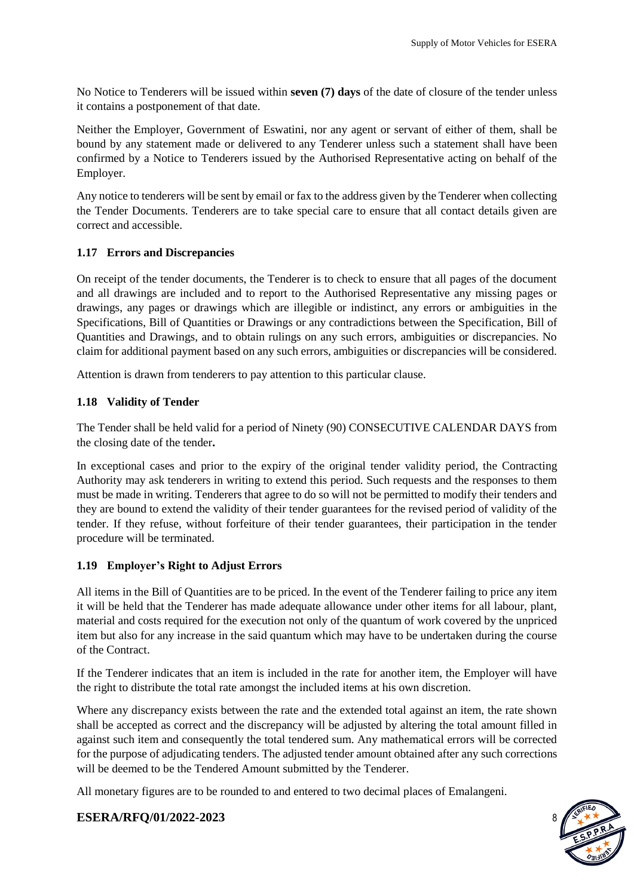No Notice to Tenderers will be issued within **seven (7) days** of the date of closure of the tender unless it contains a postponement of that date.

Neither the Employer, Government of Eswatini, nor any agent or servant of either of them, shall be bound by any statement made or delivered to any Tenderer unless such a statement shall have been confirmed by a Notice to Tenderers issued by the Authorised Representative acting on behalf of the Employer.

Any notice to tenderers will be sent by email or fax to the address given by the Tenderer when collecting the Tender Documents. Tenderers are to take special care to ensure that all contact details given are correct and accessible.

## <span id="page-7-0"></span>**1.17 Errors and Discrepancies**

On receipt of the tender documents, the Tenderer is to check to ensure that all pages of the document and all drawings are included and to report to the Authorised Representative any missing pages or drawings, any pages or drawings which are illegible or indistinct, any errors or ambiguities in the Specifications, Bill of Quantities or Drawings or any contradictions between the Specification, Bill of Quantities and Drawings, and to obtain rulings on any such errors, ambiguities or discrepancies. No claim for additional payment based on any such errors, ambiguities or discrepancies will be considered.

Attention is drawn from tenderers to pay attention to this particular clause.

# <span id="page-7-1"></span>**1.18 Validity of Tender**

The Tender shall be held valid for a period of Ninety (90) CONSECUTIVE CALENDAR DAYS from the closing date of the tender**.** 

In exceptional cases and prior to the expiry of the original tender validity period, the Contracting Authority may ask tenderers in writing to extend this period. Such requests and the responses to them must be made in writing. Tenderers that agree to do so will not be permitted to modify their tenders and they are bound to extend the validity of their tender guarantees for the revised period of validity of the tender. If they refuse, without forfeiture of their tender guarantees, their participation in the tender procedure will be terminated.

## <span id="page-7-2"></span>**1.19 Employer's Right to Adjust Errors**

All items in the Bill of Quantities are to be priced. In the event of the Tenderer failing to price any item it will be held that the Tenderer has made adequate allowance under other items for all labour, plant, material and costs required for the execution not only of the quantum of work covered by the unpriced item but also for any increase in the said quantum which may have to be undertaken during the course of the Contract.

If the Tenderer indicates that an item is included in the rate for another item, the Employer will have the right to distribute the total rate amongst the included items at his own discretion.

Where any discrepancy exists between the rate and the extended total against an item, the rate shown shall be accepted as correct and the discrepancy will be adjusted by altering the total amount filled in against such item and consequently the total tendered sum. Any mathematical errors will be corrected for the purpose of adjudicating tenders. The adjusted tender amount obtained after any such corrections will be deemed to be the Tendered Amount submitted by the Tenderer.

All monetary figures are to be rounded to and entered to two decimal places of Emalangeni.

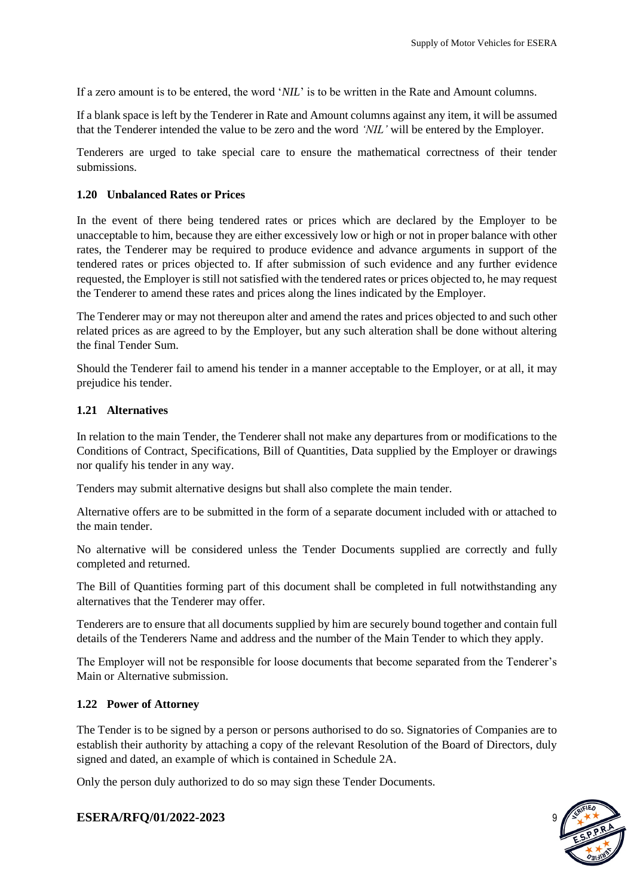If a zero amount is to be entered, the word '*NIL*' is to be written in the Rate and Amount columns.

If a blank space is left by the Tenderer in Rate and Amount columns against any item, it will be assumed that the Tenderer intended the value to be zero and the word *'NIL'* will be entered by the Employer.

Tenderers are urged to take special care to ensure the mathematical correctness of their tender submissions.

#### <span id="page-8-0"></span>**1.20 Unbalanced Rates or Prices**

In the event of there being tendered rates or prices which are declared by the Employer to be unacceptable to him, because they are either excessively low or high or not in proper balance with other rates, the Tenderer may be required to produce evidence and advance arguments in support of the tendered rates or prices objected to. If after submission of such evidence and any further evidence requested, the Employer is still not satisfied with the tendered rates or prices objected to, he may request the Tenderer to amend these rates and prices along the lines indicated by the Employer.

The Tenderer may or may not thereupon alter and amend the rates and prices objected to and such other related prices as are agreed to by the Employer, but any such alteration shall be done without altering the final Tender Sum.

Should the Tenderer fail to amend his tender in a manner acceptable to the Employer, or at all, it may prejudice his tender.

#### <span id="page-8-1"></span>**1.21 Alternatives**

In relation to the main Tender, the Tenderer shall not make any departures from or modifications to the Conditions of Contract, Specifications, Bill of Quantities, Data supplied by the Employer or drawings nor qualify his tender in any way.

Tenders may submit alternative designs but shall also complete the main tender.

Alternative offers are to be submitted in the form of a separate document included with or attached to the main tender.

No alternative will be considered unless the Tender Documents supplied are correctly and fully completed and returned.

The Bill of Quantities forming part of this document shall be completed in full notwithstanding any alternatives that the Tenderer may offer.

Tenderers are to ensure that all documents supplied by him are securely bound together and contain full details of the Tenderers Name and address and the number of the Main Tender to which they apply.

The Employer will not be responsible for loose documents that become separated from the Tenderer's Main or Alternative submission.

#### <span id="page-8-2"></span>**1.22 Power of Attorney**

The Tender is to be signed by a person or persons authorised to do so. Signatories of Companies are to establish their authority by attaching a copy of the relevant Resolution of the Board of Directors, duly signed and dated, an example of which is contained in Schedule 2A.

Only the person duly authorized to do so may sign these Tender Documents.

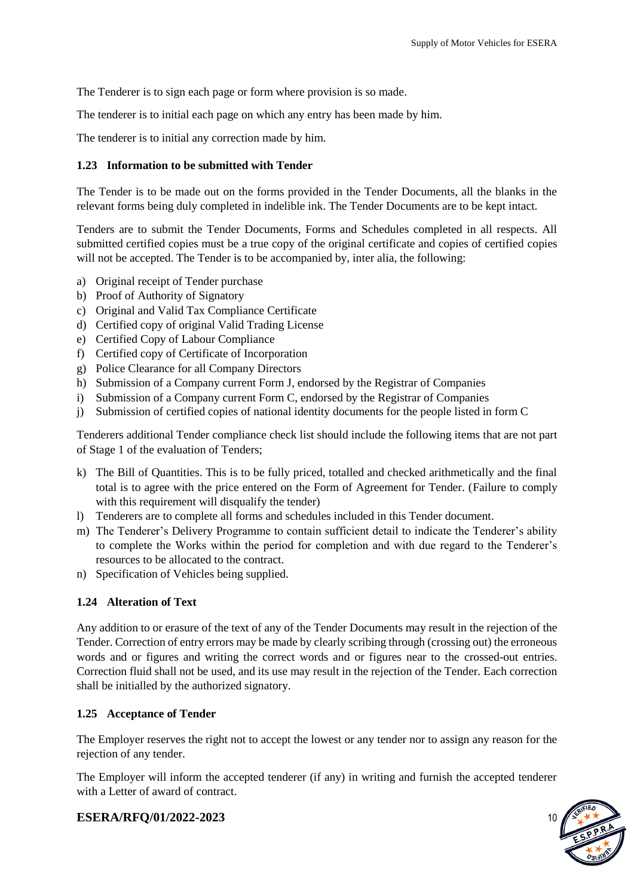The Tenderer is to sign each page or form where provision is so made.

The tenderer is to initial each page on which any entry has been made by him.

The tenderer is to initial any correction made by him.

#### <span id="page-9-0"></span>**1.23 Information to be submitted with Tender**

The Tender is to be made out on the forms provided in the Tender Documents, all the blanks in the relevant forms being duly completed in indelible ink. The Tender Documents are to be kept intact.

Tenders are to submit the Tender Documents, Forms and Schedules completed in all respects. All submitted certified copies must be a true copy of the original certificate and copies of certified copies will not be accepted. The Tender is to be accompanied by, inter alia, the following:

- a) Original receipt of Tender purchase
- b) Proof of Authority of Signatory
- c) Original and Valid Tax Compliance Certificate
- d) Certified copy of original Valid Trading License
- e) Certified Copy of Labour Compliance
- f) Certified copy of Certificate of Incorporation
- g) Police Clearance for all Company Directors
- h) Submission of a Company current Form J, endorsed by the Registrar of Companies
- i) Submission of a Company current Form C, endorsed by the Registrar of Companies
- j) Submission of certified copies of national identity documents for the people listed in form C

Tenderers additional Tender compliance check list should include the following items that are not part of Stage 1 of the evaluation of Tenders;

- k) The Bill of Quantities. This is to be fully priced, totalled and checked arithmetically and the final total is to agree with the price entered on the Form of Agreement for Tender. (Failure to comply with this requirement will disqualify the tender)
- l) Tenderers are to complete all forms and schedules included in this Tender document.
- m) The Tenderer's Delivery Programme to contain sufficient detail to indicate the Tenderer's ability to complete the Works within the period for completion and with due regard to the Tenderer's resources to be allocated to the contract.
- n) Specification of Vehicles being supplied.

#### <span id="page-9-1"></span>**1.24 Alteration of Text**

Any addition to or erasure of the text of any of the Tender Documents may result in the rejection of the Tender. Correction of entry errors may be made by clearly scribing through (crossing out) the erroneous words and or figures and writing the correct words and or figures near to the crossed-out entries. Correction fluid shall not be used, and its use may result in the rejection of the Tender. Each correction shall be initialled by the authorized signatory.

#### <span id="page-9-2"></span>**1.25 Acceptance of Tender**

The Employer reserves the right not to accept the lowest or any tender nor to assign any reason for the rejection of any tender.

The Employer will inform the accepted tenderer (if any) in writing and furnish the accepted tenderer with a Letter of award of contract.

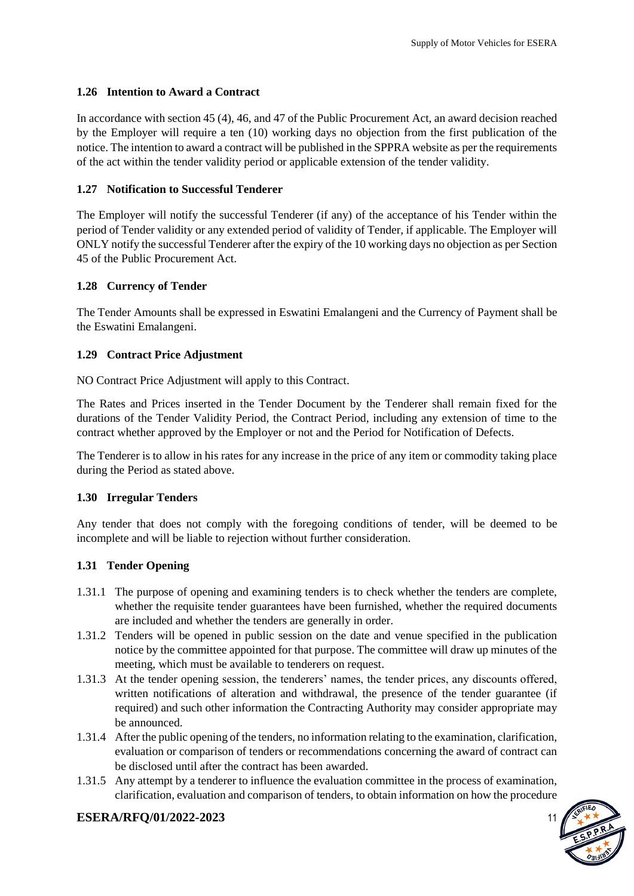## <span id="page-10-0"></span>**1.26 Intention to Award a Contract**

In accordance with section 45 (4), 46, and 47 of the Public Procurement Act, an award decision reached by the Employer will require a ten (10) working days no objection from the first publication of the notice. The intention to award a contract will be published in the SPPRA website as per the requirements of the act within the tender validity period or applicable extension of the tender validity.

## <span id="page-10-1"></span>**1.27 Notification to Successful Tenderer**

The Employer will notify the successful Tenderer (if any) of the acceptance of his Tender within the period of Tender validity or any extended period of validity of Tender, if applicable. The Employer will ONLY notify the successful Tenderer after the expiry of the 10 working days no objection as per Section 45 of the Public Procurement Act.

## <span id="page-10-2"></span>**1.28 Currency of Tender**

The Tender Amounts shall be expressed in Eswatini Emalangeni and the Currency of Payment shall be the Eswatini Emalangeni.

## <span id="page-10-3"></span>**1.29 Contract Price Adjustment**

NO Contract Price Adjustment will apply to this Contract.

The Rates and Prices inserted in the Tender Document by the Tenderer shall remain fixed for the durations of the Tender Validity Period, the Contract Period, including any extension of time to the contract whether approved by the Employer or not and the Period for Notification of Defects.

The Tenderer is to allow in his rates for any increase in the price of any item or commodity taking place during the Period as stated above.

## <span id="page-10-4"></span>**1.30 Irregular Tenders**

Any tender that does not comply with the foregoing conditions of tender, will be deemed to be incomplete and will be liable to rejection without further consideration.

## <span id="page-10-5"></span>**1.31 Tender Opening**

- 1.31.1 The purpose of opening and examining tenders is to check whether the tenders are complete, whether the requisite tender guarantees have been furnished, whether the required documents are included and whether the tenders are generally in order.
- 1.31.2 Tenders will be opened in public session on the date and venue specified in the publication notice by the committee appointed for that purpose. The committee will draw up minutes of the meeting, which must be available to tenderers on request.
- 1.31.3 At the tender opening session, the tenderers' names, the tender prices, any discounts offered, written notifications of alteration and withdrawal, the presence of the tender guarantee (if required) and such other information the Contracting Authority may consider appropriate may be announced.
- 1.31.4 After the public opening of the tenders, no information relating to the examination, clarification, evaluation or comparison of tenders or recommendations concerning the award of contract can be disclosed until after the contract has been awarded.
- 1.31.5 Any attempt by a tenderer to influence the evaluation committee in the process of examination, clarification, evaluation and comparison of tenders, to obtain information on how the procedure

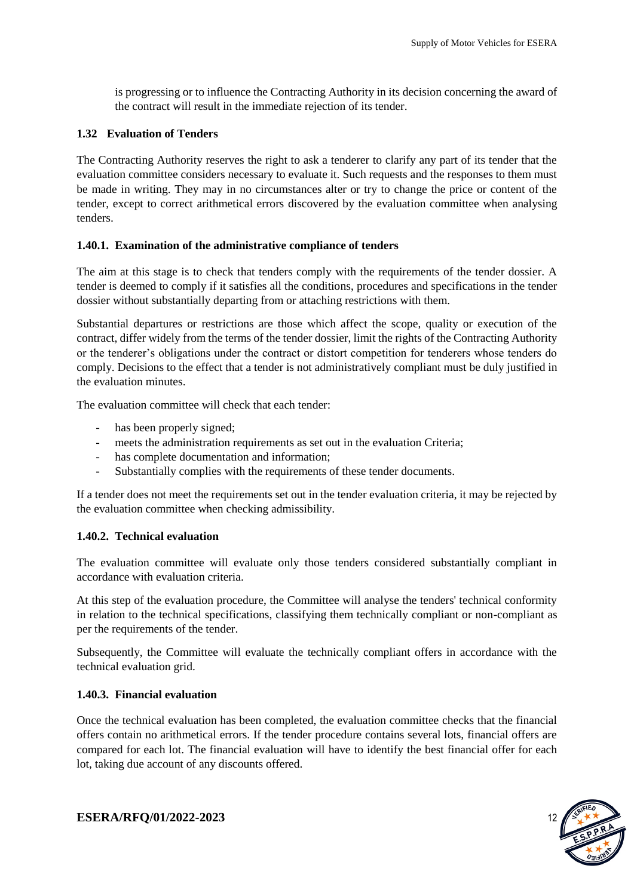is progressing or to influence the Contracting Authority in its decision concerning the award of the contract will result in the immediate rejection of its tender.

#### <span id="page-11-0"></span>**1.32 Evaluation of Tenders**

The Contracting Authority reserves the right to ask a tenderer to clarify any part of its tender that the evaluation committee considers necessary to evaluate it. Such requests and the responses to them must be made in writing. They may in no circumstances alter or try to change the price or content of the tender, except to correct arithmetical errors discovered by the evaluation committee when analysing tenders.

#### <span id="page-11-1"></span>**1.40.1. Examination of the administrative compliance of tenders**

The aim at this stage is to check that tenders comply with the requirements of the tender dossier. A tender is deemed to comply if it satisfies all the conditions, procedures and specifications in the tender dossier without substantially departing from or attaching restrictions with them.

Substantial departures or restrictions are those which affect the scope, quality or execution of the contract, differ widely from the terms of the tender dossier, limit the rights of the Contracting Authority or the tenderer's obligations under the contract or distort competition for tenderers whose tenders do comply. Decisions to the effect that a tender is not administratively compliant must be duly justified in the evaluation minutes.

The evaluation committee will check that each tender:

- has been properly signed;
- meets the administration requirements as set out in the evaluation Criteria;
- has complete documentation and information;
- Substantially complies with the requirements of these tender documents.

If a tender does not meet the requirements set out in the tender evaluation criteria, it may be rejected by the evaluation committee when checking admissibility.

#### <span id="page-11-2"></span>**1.40.2. Technical evaluation**

The evaluation committee will evaluate only those tenders considered substantially compliant in accordance with evaluation criteria.

At this step of the evaluation procedure, the Committee will analyse the tenders' technical conformity in relation to the technical specifications, classifying them technically compliant or non-compliant as per the requirements of the tender.

Subsequently, the Committee will evaluate the technically compliant offers in accordance with the technical evaluation grid.

#### <span id="page-11-3"></span>**1.40.3. Financial evaluation**

Once the technical evaluation has been completed, the evaluation committee checks that the financial offers contain no arithmetical errors. If the tender procedure contains several lots, financial offers are compared for each lot. The financial evaluation will have to identify the best financial offer for each lot, taking due account of any discounts offered.

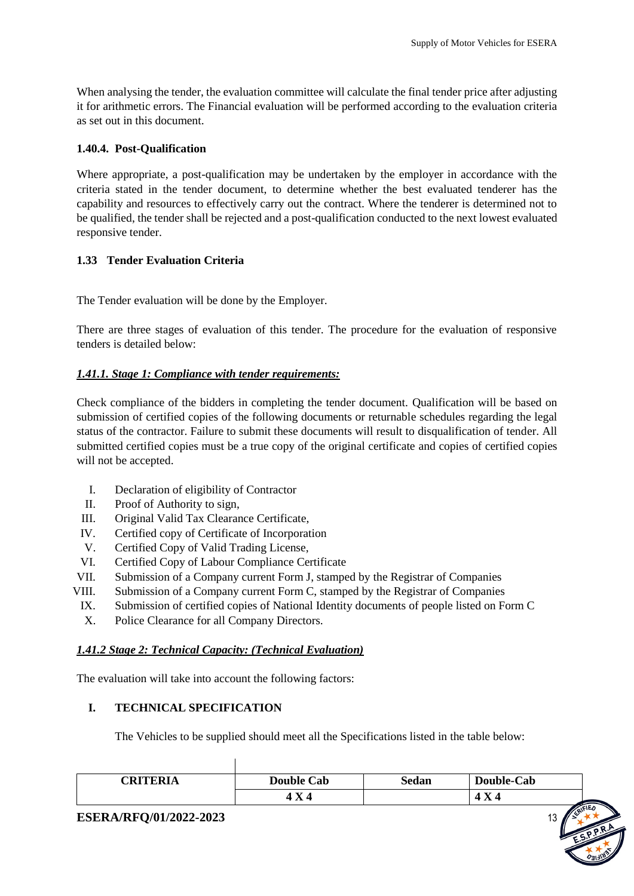When analysing the tender, the evaluation committee will calculate the final tender price after adjusting it for arithmetic errors. The Financial evaluation will be performed according to the evaluation criteria as set out in this document.

## <span id="page-12-0"></span>**1.40.4. Post-Qualification**

Where appropriate, a post-qualification may be undertaken by the employer in accordance with the criteria stated in the tender document, to determine whether the best evaluated tenderer has the capability and resources to effectively carry out the contract. Where the tenderer is determined not to be qualified, the tender shall be rejected and a post-qualification conducted to the next lowest evaluated responsive tender.

# <span id="page-12-1"></span>**1.33 Tender Evaluation Criteria**

The Tender evaluation will be done by the Employer.

There are three stages of evaluation of this tender. The procedure for the evaluation of responsive tenders is detailed below:

# *1.41.1. Stage 1: Compliance with tender requirements:*

Check compliance of the bidders in completing the tender document. Qualification will be based on submission of certified copies of the following documents or returnable schedules regarding the legal status of the contractor. Failure to submit these documents will result to disqualification of tender. All submitted certified copies must be a true copy of the original certificate and copies of certified copies will not be accepted.

- I. Declaration of eligibility of Contractor
- II. Proof of Authority to sign,
- III. Original Valid Tax Clearance Certificate,
- IV. Certified copy of Certificate of Incorporation
- V. Certified Copy of Valid Trading License,
- VI. Certified Copy of Labour Compliance Certificate
- VII. Submission of a Company current Form J, stamped by the Registrar of Companies
- VIII. Submission of a Company current Form C, stamped by the Registrar of Companies
	- IX. Submission of certified copies of National Identity documents of people listed on Form C
	- X. Police Clearance for all Company Directors.

## *1.41.2 Stage 2: Technical Capacity: (Technical Evaluation)*

The evaluation will take into account the following factors:

 $\mathbf{I}$ 

## **I. TECHNICAL SPECIFICATION**

The Vehicles to be supplied should meet all the Specifications listed in the table below:

| <b>CRITERIA</b> | <b>Double Cab</b> | Sedan | Double-Cab |        |
|-----------------|-------------------|-------|------------|--------|
|                 | $\mathbf{r}$      |       |            | $\sim$ |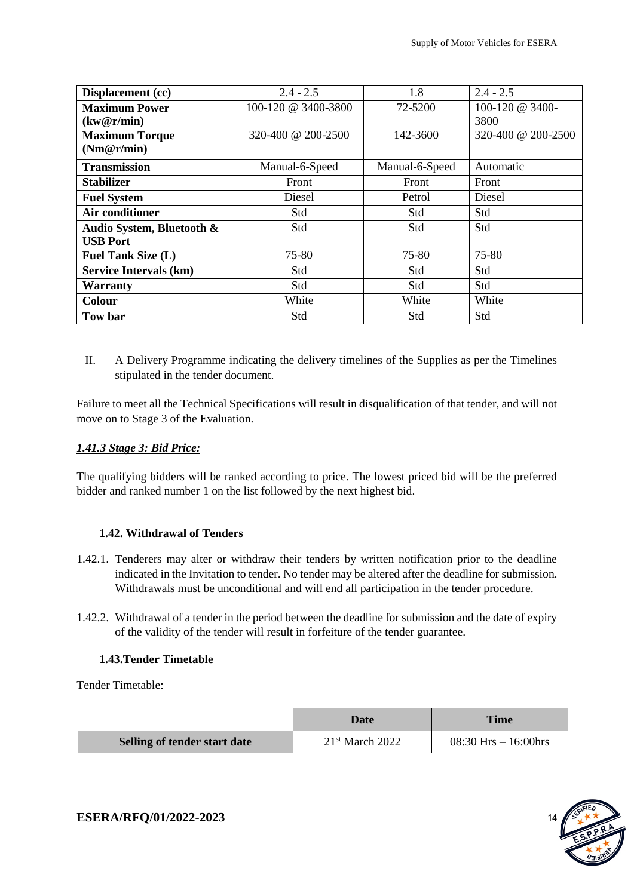| Displacement (cc)         | $2.4 - 2.5$         | 1.8            | $2.4 - 2.5$        |
|---------------------------|---------------------|----------------|--------------------|
| <b>Maximum Power</b>      | 100-120 @ 3400-3800 | 72-5200        | 100-120 @ 3400-    |
| (kw@r/min)                |                     |                | 3800               |
| <b>Maximum Torque</b>     | 320-400 @ 200-2500  | 142-3600       | 320-400 @ 200-2500 |
| (Nm@r/min)                |                     |                |                    |
| <b>Transmission</b>       | Manual-6-Speed      | Manual-6-Speed | Automatic          |
| <b>Stabilizer</b>         | Front               | Front          | Front              |
| <b>Fuel System</b>        | Diesel              | Petrol         | Diesel             |
| <b>Air conditioner</b>    | Std                 | Std            | Std                |
| Audio System, Bluetooth & | Std                 | Std            | Std                |
| <b>USB Port</b>           |                     |                |                    |
| <b>Fuel Tank Size (L)</b> | 75-80               | 75-80          | 75-80              |
| Service Intervals (km)    | Std                 | Std            | Std                |
| <b>Warranty</b>           | Std                 | Std            | Std                |
| <b>Colour</b>             | White               | White          | White              |
| Tow bar                   | Std                 | Std            | Std                |

II. A Delivery Programme indicating the delivery timelines of the Supplies as per the Timelines stipulated in the tender document.

Failure to meet all the Technical Specifications will result in disqualification of that tender, and will not move on to Stage 3 of the Evaluation.

## *1.41.3 Stage 3: Bid Price:*

The qualifying bidders will be ranked according to price. The lowest priced bid will be the preferred bidder and ranked number 1 on the list followed by the next highest bid.

#### <span id="page-13-0"></span>**1.42. Withdrawal of Tenders**

- 1.42.1. Tenderers may alter or withdraw their tenders by written notification prior to the deadline indicated in the Invitation to tender. No tender may be altered after the deadline for submission. Withdrawals must be unconditional and will end all participation in the tender procedure.
- <span id="page-13-1"></span>1.42.2. Withdrawal of a tender in the period between the deadline for submission and the date of expiry of the validity of the tender will result in forfeiture of the tender guarantee.

#### **1.43.Tender Timetable**

Tender Timetable:

|                              | Date              | <b>Time</b>               |
|------------------------------|-------------------|---------------------------|
| Selling of tender start date | $21st$ March 2022 | $08:30$ Hrs $- 16:00$ hrs |

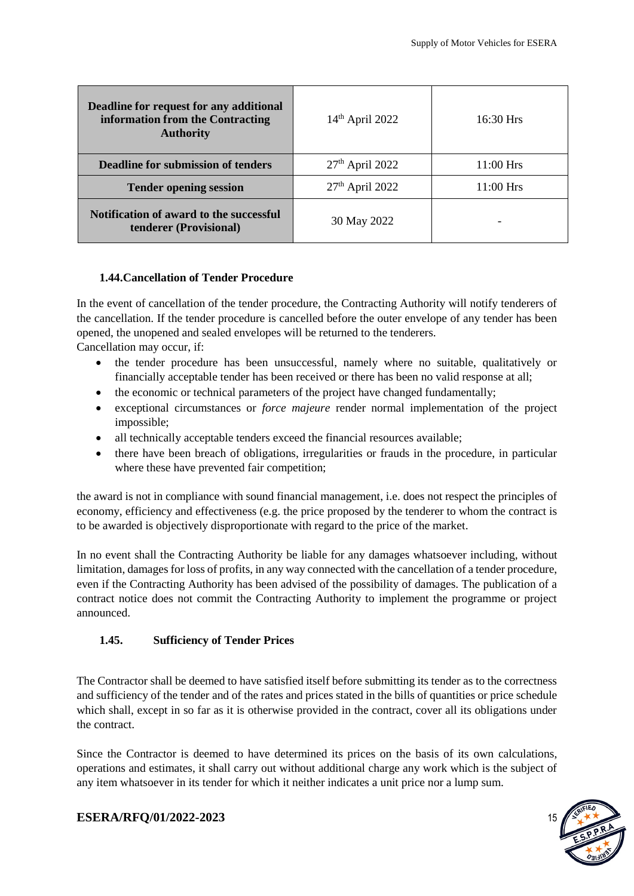| Deadline for request for any additional<br>information from the Contracting<br><b>Authority</b> | $14th$ April 2022 | $16:30$ Hrs |  |
|-------------------------------------------------------------------------------------------------|-------------------|-------------|--|
| Deadline for submission of tenders                                                              | $27th$ April 2022 | $11:00$ Hrs |  |
| <b>Tender opening session</b>                                                                   | $27th$ April 2022 | $11:00$ Hrs |  |
| Notification of award to the successful<br>tenderer (Provisional)                               | 30 May 2022       |             |  |

# <span id="page-14-0"></span>**1.44.Cancellation of Tender Procedure**

In the event of cancellation of the tender procedure, the Contracting Authority will notify tenderers of the cancellation. If the tender procedure is cancelled before the outer envelope of any tender has been opened, the unopened and sealed envelopes will be returned to the tenderers. Cancellation may occur, if:

- the tender procedure has been unsuccessful, namely where no suitable, qualitatively or financially acceptable tender has been received or there has been no valid response at all;
- the economic or technical parameters of the project have changed fundamentally;
- exceptional circumstances or *force majeure* render normal implementation of the project impossible;
- all technically acceptable tenders exceed the financial resources available;
- there have been breach of obligations, irregularities or frauds in the procedure, in particular where these have prevented fair competition;

the award is not in compliance with sound financial management, i.e. does not respect the principles of economy, efficiency and effectiveness (e.g. the price proposed by the tenderer to whom the contract is to be awarded is objectively disproportionate with regard to the price of the market.

In no event shall the Contracting Authority be liable for any damages whatsoever including, without limitation, damages for loss of profits, in any way connected with the cancellation of a tender procedure, even if the Contracting Authority has been advised of the possibility of damages. The publication of a contract notice does not commit the Contracting Authority to implement the programme or project announced.

# <span id="page-14-1"></span>**1.45. Sufficiency of Tender Prices**

The Contractor shall be deemed to have satisfied itself before submitting its tender as to the correctness and sufficiency of the tender and of the rates and prices stated in the bills of quantities or price schedule which shall, except in so far as it is otherwise provided in the contract, cover all its obligations under the contract.

Since the Contractor is deemed to have determined its prices on the basis of its own calculations, operations and estimates, it shall carry out without additional charge any work which is the subject of any item whatsoever in its tender for which it neither indicates a unit price nor a lump sum.

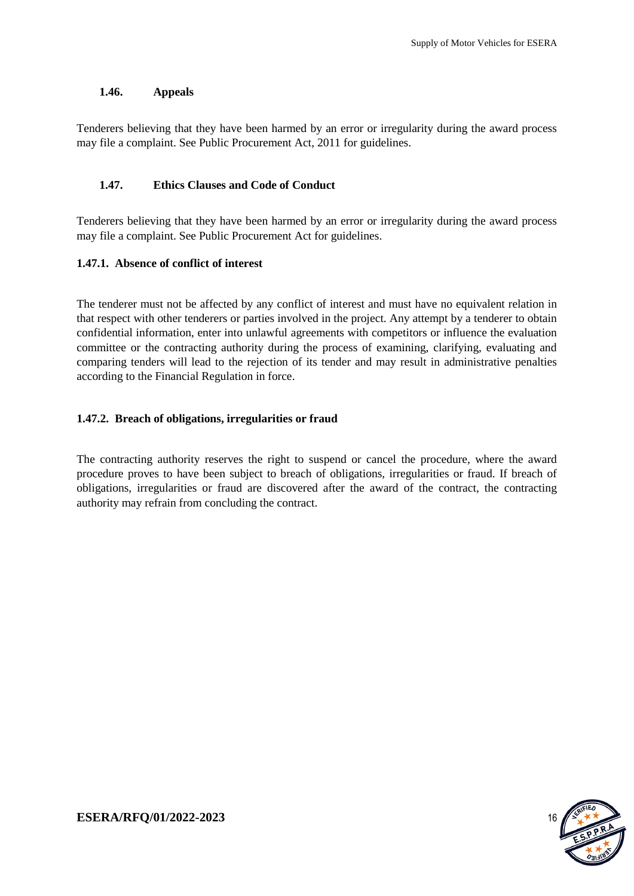#### <span id="page-15-0"></span>**1.46. Appeals**

Tenderers believing that they have been harmed by an error or irregularity during the award process may file a complaint. See Public Procurement Act, 2011 for guidelines.

## <span id="page-15-1"></span>**1.47. Ethics Clauses and Code of Conduct**

Tenderers believing that they have been harmed by an error or irregularity during the award process may file a complaint. See Public Procurement Act for guidelines.

#### <span id="page-15-2"></span>**1.47.1. Absence of conflict of interest**

The tenderer must not be affected by any conflict of interest and must have no equivalent relation in that respect with other tenderers or parties involved in the project. Any attempt by a tenderer to obtain confidential information, enter into unlawful agreements with competitors or influence the evaluation committee or the contracting authority during the process of examining, clarifying, evaluating and comparing tenders will lead to the rejection of its tender and may result in administrative penalties according to the Financial Regulation in force.

## <span id="page-15-3"></span>**1.47.2. Breach of obligations, irregularities or fraud**

The contracting authority reserves the right to suspend or cancel the procedure, where the award procedure proves to have been subject to breach of obligations, irregularities or fraud. If breach of obligations, irregularities or fraud are discovered after the award of the contract, the contracting authority may refrain from concluding the contract.

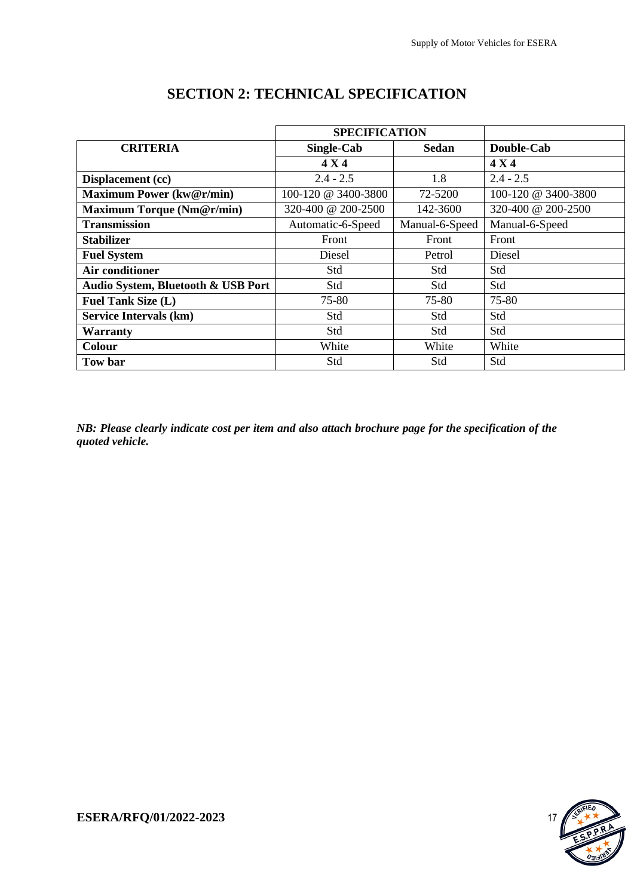<span id="page-16-0"></span>

|                                    | <b>SPECIFICATION</b> |                |                     |
|------------------------------------|----------------------|----------------|---------------------|
| <b>CRITERIA</b>                    | Single-Cab           | Sedan          | Double-Cab          |
|                                    | 4 X 4                |                | 4 X 4               |
| Displacement (cc)                  | $2.4 - 2.5$          | 1.8            | $2.4 - 2.5$         |
| Maximum Power (kw@r/min)           | 100-120 @ 3400-3800  | 72-5200        | 100-120 @ 3400-3800 |
| <b>Maximum Torque (Nm@r/min)</b>   | 320-400 @ 200-2500   | 142-3600       | 320-400 @ 200-2500  |
| <b>Transmission</b>                | Automatic-6-Speed    | Manual-6-Speed | Manual-6-Speed      |
| <b>Stabilizer</b>                  | Front                | Front          | Front               |
| <b>Fuel System</b>                 | <b>Diesel</b>        | Petrol         | Diesel              |
| <b>Air conditioner</b>             | Std                  | Std            | Std                 |
| Audio System, Bluetooth & USB Port | Std                  | Std            | Std                 |
| <b>Fuel Tank Size (L)</b>          | 75-80                | 75-80          | 75-80               |
| Service Intervals (km)             | Std                  | Std            | Std                 |
| <b>Warranty</b>                    | Std                  | Std            | Std                 |
| Colour                             | White                | White          | White               |
| Tow bar                            | Std                  | Std            | Std                 |

# **SECTION 2: TECHNICAL SPECIFICATION**

*NB: Please clearly indicate cost per item and also attach brochure page for the specification of the quoted vehicle.*

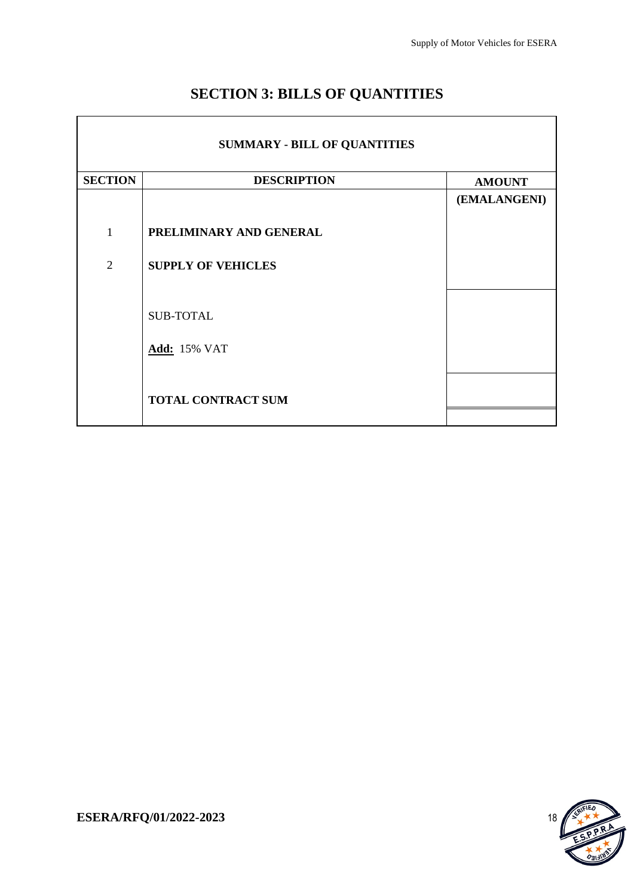# **SECTION 3: BILLS OF QUANTITIES**

<span id="page-17-0"></span>

| <b>SUMMARY - BILL OF QUANTITIES</b> |                           |               |  |  |
|-------------------------------------|---------------------------|---------------|--|--|
| <b>SECTION</b>                      | <b>DESCRIPTION</b>        | <b>AMOUNT</b> |  |  |
|                                     |                           | (EMALANGENI)  |  |  |
| $\mathbf{1}$                        | PRELIMINARY AND GENERAL   |               |  |  |
| 2                                   | <b>SUPPLY OF VEHICLES</b> |               |  |  |
|                                     |                           |               |  |  |
|                                     | <b>SUB-TOTAL</b>          |               |  |  |
|                                     | <b>Add:</b> 15% VAT       |               |  |  |
|                                     |                           |               |  |  |
|                                     | <b>TOTAL CONTRACT SUM</b> |               |  |  |
|                                     |                           |               |  |  |

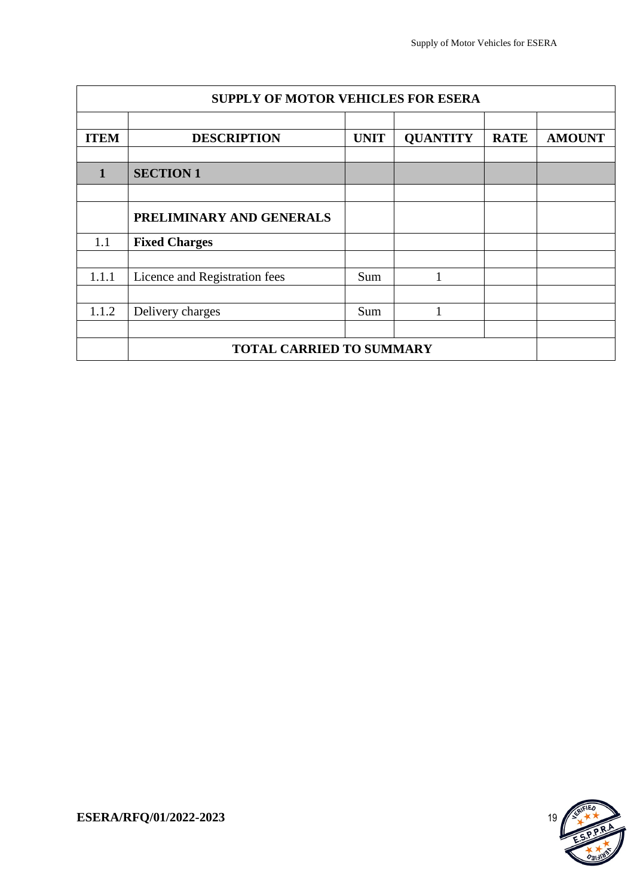|              | <b>SUPPLY OF MOTOR VEHICLES FOR ESERA</b> |             |                 |             |               |
|--------------|-------------------------------------------|-------------|-----------------|-------------|---------------|
|              |                                           |             |                 |             |               |
| <b>ITEM</b>  | <b>DESCRIPTION</b>                        | <b>UNIT</b> | <b>QUANTITY</b> | <b>RATE</b> | <b>AMOUNT</b> |
|              |                                           |             |                 |             |               |
| $\mathbf{1}$ | <b>SECTION 1</b>                          |             |                 |             |               |
|              |                                           |             |                 |             |               |
|              | PRELIMINARY AND GENERALS                  |             |                 |             |               |
| 1.1          | <b>Fixed Charges</b>                      |             |                 |             |               |
|              |                                           |             |                 |             |               |
| 1.1.1        | Licence and Registration fees             | Sum         | 1               |             |               |
|              |                                           |             |                 |             |               |
| 1.1.2        | Delivery charges                          | Sum         | 1               |             |               |
|              |                                           |             |                 |             |               |
|              | <b>TOTAL CARRIED TO SUMMARY</b>           |             |                 |             |               |

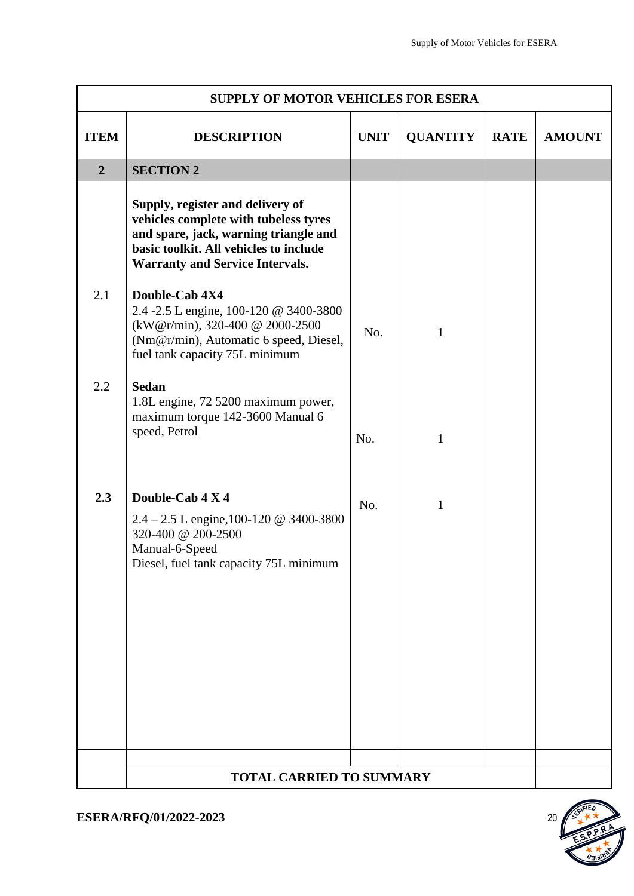|                | <b>SUPPLY OF MOTOR VEHICLES FOR ESERA</b>                                                                                                                                                              |             |                 |             |               |
|----------------|--------------------------------------------------------------------------------------------------------------------------------------------------------------------------------------------------------|-------------|-----------------|-------------|---------------|
| <b>ITEM</b>    | <b>DESCRIPTION</b>                                                                                                                                                                                     | <b>UNIT</b> | <b>QUANTITY</b> | <b>RATE</b> | <b>AMOUNT</b> |
| $\overline{2}$ | <b>SECTION 2</b>                                                                                                                                                                                       |             |                 |             |               |
|                | Supply, register and delivery of<br>vehicles complete with tubeless tyres<br>and spare, jack, warning triangle and<br>basic toolkit. All vehicles to include<br><b>Warranty and Service Intervals.</b> |             |                 |             |               |
| 2.1            | Double-Cab 4X4<br>2.4 -2.5 L engine, 100-120 @ 3400-3800<br>(kW@r/min), 320-400 @ 2000-2500<br>(Nm@r/min), Automatic 6 speed, Diesel,<br>fuel tank capacity 75L minimum                                | No.         | $\mathbf{1}$    |             |               |
| 2.2            | <b>Sedan</b><br>1.8L engine, 72 5200 maximum power,<br>maximum torque 142-3600 Manual 6<br>speed, Petrol                                                                                               | No.         | $\mathbf{1}$    |             |               |
| 2.3            | Double-Cab 4 X 4<br>$2.4 - 2.5$ L engine, 100-120 @ 3400-3800<br>320-400 @ 200-2500<br>Manual-6-Speed<br>Diesel, fuel tank capacity 75L minimum                                                        | No.         | 1               |             |               |
|                | <b>TOTAL CARRIED TO SUMMARY</b>                                                                                                                                                                        |             |                 |             |               |

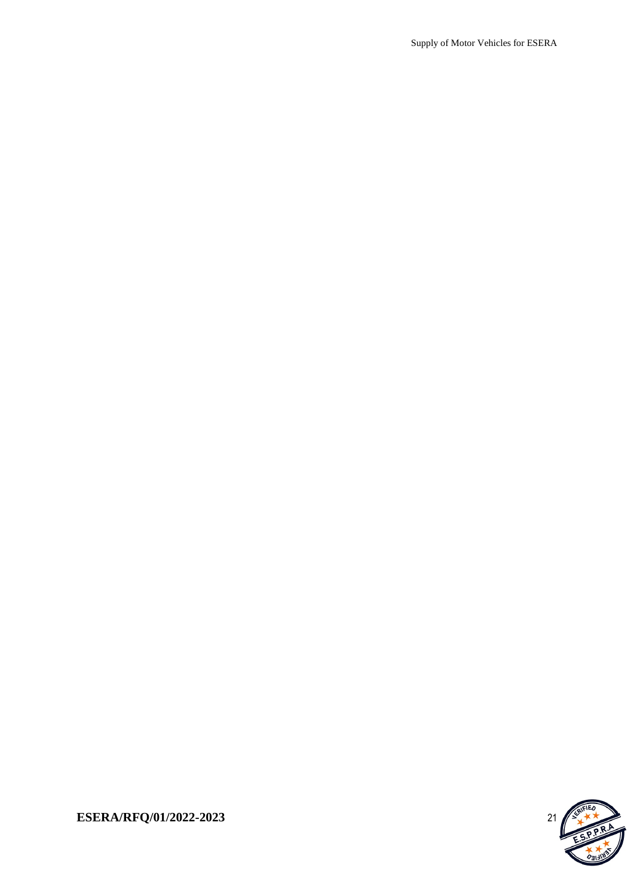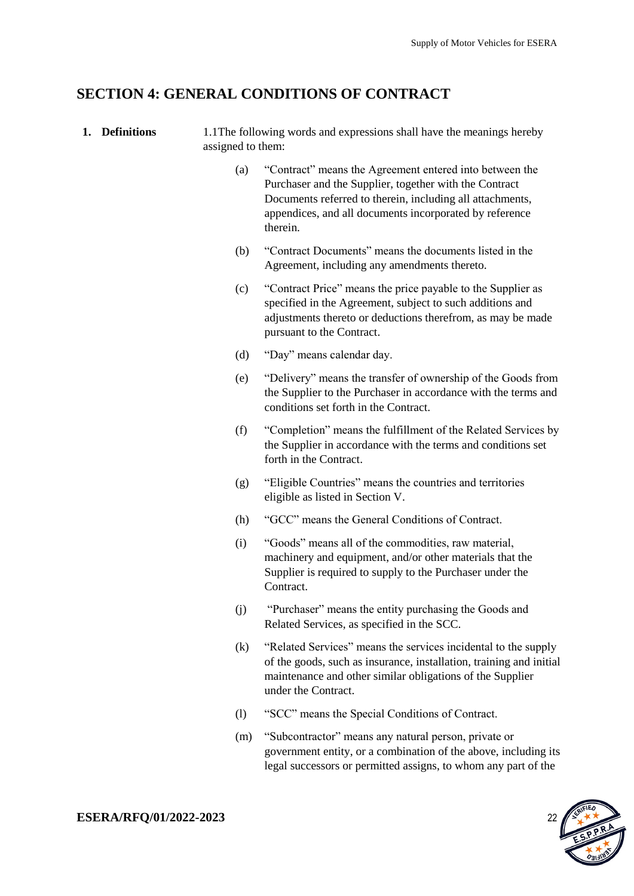# <span id="page-21-0"></span>**SECTION 4: GENERAL CONDITIONS OF CONTRACT**

- **1. Definitions** 1.1The following words and expressions shall have the meanings hereby assigned to them:
	- (a) "Contract" means the Agreement entered into between the Purchaser and the Supplier, together with the Contract Documents referred to therein, including all attachments, appendices, and all documents incorporated by reference therein.
	- (b) "Contract Documents" means the documents listed in the Agreement, including any amendments thereto.
	- (c) "Contract Price" means the price payable to the Supplier as specified in the Agreement, subject to such additions and adjustments thereto or deductions therefrom, as may be made pursuant to the Contract.
	- (d) "Day" means calendar day.
	- (e) "Delivery" means the transfer of ownership of the Goods from the Supplier to the Purchaser in accordance with the terms and conditions set forth in the Contract.
	- (f) "Completion" means the fulfillment of the Related Services by the Supplier in accordance with the terms and conditions set forth in the Contract.
	- (g) "Eligible Countries" means the countries and territories eligible as listed in Section V.
	- (h) "GCC" means the General Conditions of Contract.
	- (i) "Goods" means all of the commodities, raw material, machinery and equipment, and/or other materials that the Supplier is required to supply to the Purchaser under the Contract.
	- (j) "Purchaser" means the entity purchasing the Goods and Related Services, as specified in the SCC.
	- (k) "Related Services" means the services incidental to the supply of the goods, such as insurance, installation, training and initial maintenance and other similar obligations of the Supplier under the Contract.
	- (l) "SCC" means the Special Conditions of Contract.
	- (m) "Subcontractor" means any natural person, private or government entity, or a combination of the above, including its legal successors or permitted assigns, to whom any part of the

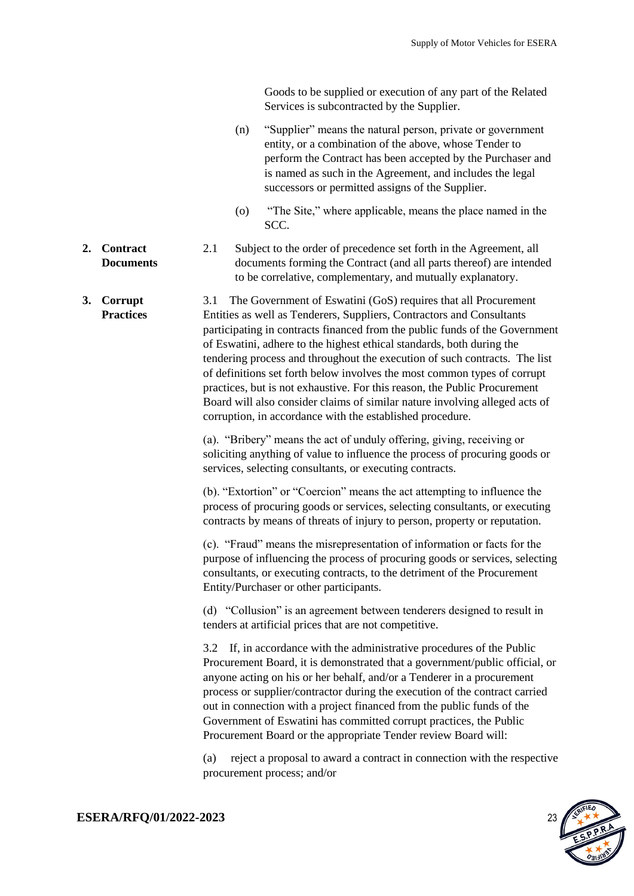Goods to be supplied or execution of any part of the Related Services is subcontracted by the Supplier.

- (n) "Supplier" means the natural person, private or government entity, or a combination of the above, whose Tender to perform the Contract has been accepted by the Purchaser and is named as such in the Agreement, and includes the legal successors or permitted assigns of the Supplier.
- (o) "The Site," where applicable, means the place named in the SCC.
- **2. Contract Documents** 2.1 Subject to the order of precedence set forth in the Agreement, all documents forming the Contract (and all parts thereof) are intended to be correlative, complementary, and mutually explanatory.

**3. Corrupt Practices** 3.1 The Government of Eswatini (GoS) requires that all Procurement Entities as well as Tenderers, Suppliers, Contractors and Consultants participating in contracts financed from the public funds of the Government of Eswatini, adhere to the highest ethical standards, both during the tendering process and throughout the execution of such contracts. The list of definitions set forth below involves the most common types of corrupt practices, but is not exhaustive. For this reason, the Public Procurement Board will also consider claims of similar nature involving alleged acts of corruption, in accordance with the established procedure.

> (a). "Bribery" means the act of unduly offering, giving, receiving or soliciting anything of value to influence the process of procuring goods or services, selecting consultants, or executing contracts.

> (b). "Extortion" or "Coercion" means the act attempting to influence the process of procuring goods or services, selecting consultants, or executing contracts by means of threats of injury to person, property or reputation.

(c). "Fraud" means the misrepresentation of information or facts for the purpose of influencing the process of procuring goods or services, selecting consultants, or executing contracts, to the detriment of the Procurement Entity/Purchaser or other participants.

(d) "Collusion" is an agreement between tenderers designed to result in tenders at artificial prices that are not competitive.

3.2 If, in accordance with the administrative procedures of the Public Procurement Board, it is demonstrated that a government/public official, or anyone acting on his or her behalf, and/or a Tenderer in a procurement process or supplier/contractor during the execution of the contract carried out in connection with a project financed from the public funds of the Government of Eswatini has committed corrupt practices, the Public Procurement Board or the appropriate Tender review Board will:

(a) reject a proposal to award a contract in connection with the respective procurement process; and/or

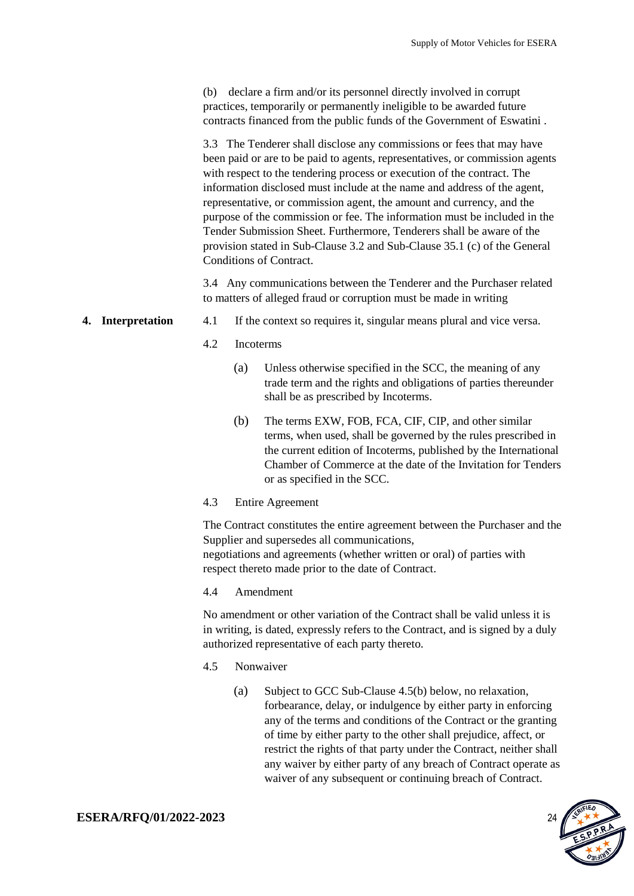(b) declare a firm and/or its personnel directly involved in corrupt practices, temporarily or permanently ineligible to be awarded future contracts financed from the public funds of the Government of Eswatini .

3.3 The Tenderer shall disclose any commissions or fees that may have been paid or are to be paid to agents, representatives, or commission agents with respect to the tendering process or execution of the contract. The information disclosed must include at the name and address of the agent, representative, or commission agent, the amount and currency, and the purpose of the commission or fee. The information must be included in the Tender Submission Sheet. Furthermore, Tenderers shall be aware of the provision stated in Sub-Clause 3.2 and Sub-Clause 35.1 (c) of the General Conditions of Contract.

3.4 Any communications between the Tenderer and the Purchaser related to matters of alleged fraud or corruption must be made in writing

#### **4. Interpretation** 4.1 If the context so requires it, singular means plural and vice versa.

- 4.2 Incoterms
	- (a) Unless otherwise specified in the SCC, the meaning of any trade term and the rights and obligations of parties thereunder shall be as prescribed by Incoterms.
	- (b) The terms EXW, FOB, FCA, CIF, CIP, and other similar terms, when used, shall be governed by the rules prescribed in the current edition of Incoterms, published by the International Chamber of Commerce at the date of the Invitation for Tenders or as specified in the SCC.

#### 4.3 Entire Agreement

The Contract constitutes the entire agreement between the Purchaser and the Supplier and supersedes all communications, negotiations and agreements (whether written or oral) of parties with respect thereto made prior to the date of Contract.

#### 4.4 Amendment

No amendment or other variation of the Contract shall be valid unless it is in writing, is dated, expressly refers to the Contract, and is signed by a duly authorized representative of each party thereto.

- 4.5 Nonwaiver
	- (a) Subject to GCC Sub-Clause 4.5(b) below, no relaxation, forbearance, delay, or indulgence by either party in enforcing any of the terms and conditions of the Contract or the granting of time by either party to the other shall prejudice, affect, or restrict the rights of that party under the Contract, neither shall any waiver by either party of any breach of Contract operate as waiver of any subsequent or continuing breach of Contract.

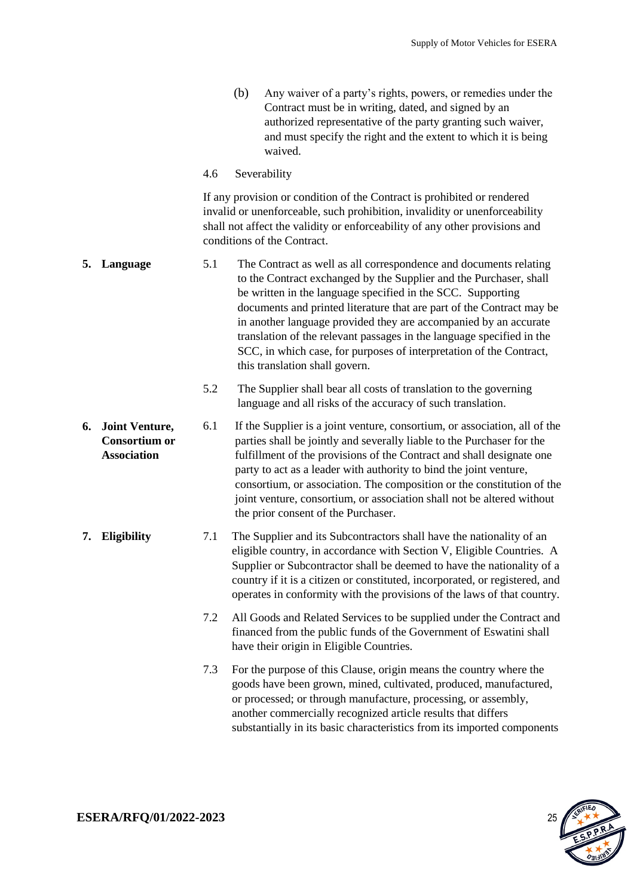- (b) Any waiver of a party's rights, powers, or remedies under the Contract must be in writing, dated, and signed by an authorized representative of the party granting such waiver, and must specify the right and the extent to which it is being waived.
- 4.6 Severability

If any provision or condition of the Contract is prohibited or rendered invalid or unenforceable, such prohibition, invalidity or unenforceability shall not affect the validity or enforceability of any other provisions and conditions of the Contract.

- **5. Language** 5.1 The Contract as well as all correspondence and documents relating to the Contract exchanged by the Supplier and the Purchaser, shall be written in the language specified in the SCC. Supporting documents and printed literature that are part of the Contract may be in another language provided they are accompanied by an accurate translation of the relevant passages in the language specified in the SCC, in which case, for purposes of interpretation of the Contract, this translation shall govern.
	- 5.2 The Supplier shall bear all costs of translation to the governing language and all risks of the accuracy of such translation.
- **6. Joint Venture, Consortium or Association** 6.1 If the Supplier is a joint venture, consortium, or association, all of the parties shall be jointly and severally liable to the Purchaser for the fulfillment of the provisions of the Contract and shall designate one party to act as a leader with authority to bind the joint venture, consortium, or association. The composition or the constitution of the joint venture, consortium, or association shall not be altered without the prior consent of the Purchaser.
- **7. Eligibility** 7.1 The Supplier and its Subcontractors shall have the nationality of an eligible country, in accordance with Section V, Eligible Countries. A Supplier or Subcontractor shall be deemed to have the nationality of a country if it is a citizen or constituted, incorporated, or registered, and operates in conformity with the provisions of the laws of that country.
	- 7.2 All Goods and Related Services to be supplied under the Contract and financed from the public funds of the Government of Eswatini shall have their origin in Eligible Countries.
	- 7.3 For the purpose of this Clause, origin means the country where the goods have been grown, mined, cultivated, produced, manufactured, or processed; or through manufacture, processing, or assembly, another commercially recognized article results that differs substantially in its basic characteristics from its imported components

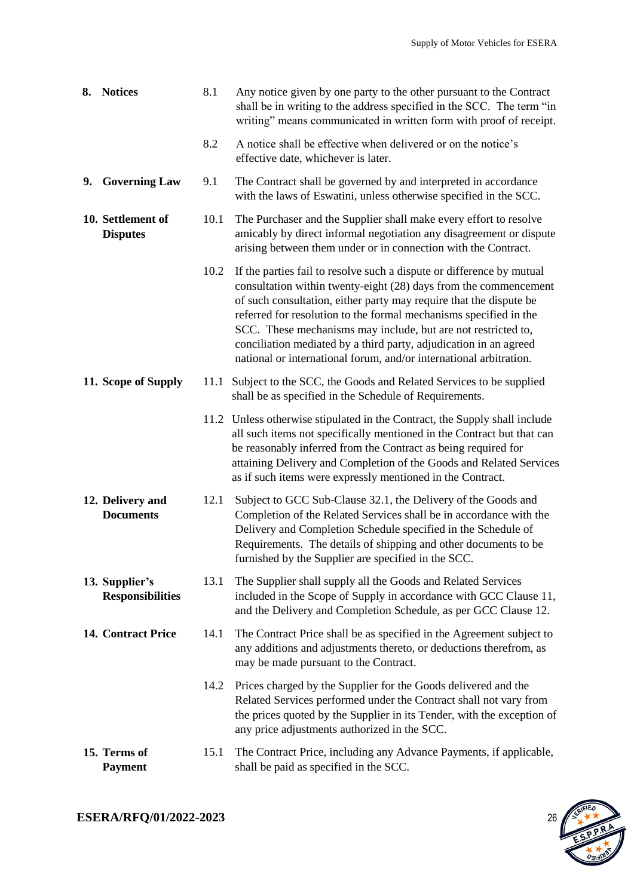|    | 8. Notices                                | 8.1  | Any notice given by one party to the other pursuant to the Contract<br>shall be in writing to the address specified in the SCC. The term "in<br>writing" means communicated in written form with proof of receipt.                                                                                                                                                                                                                                                                               |
|----|-------------------------------------------|------|--------------------------------------------------------------------------------------------------------------------------------------------------------------------------------------------------------------------------------------------------------------------------------------------------------------------------------------------------------------------------------------------------------------------------------------------------------------------------------------------------|
|    |                                           | 8.2  | A notice shall be effective when delivered or on the notice's<br>effective date, whichever is later.                                                                                                                                                                                                                                                                                                                                                                                             |
| 9. | <b>Governing Law</b>                      | 9.1  | The Contract shall be governed by and interpreted in accordance<br>with the laws of Eswatini, unless otherwise specified in the SCC.                                                                                                                                                                                                                                                                                                                                                             |
|    | 10. Settlement of<br><b>Disputes</b>      | 10.1 | The Purchaser and the Supplier shall make every effort to resolve<br>amicably by direct informal negotiation any disagreement or dispute<br>arising between them under or in connection with the Contract.                                                                                                                                                                                                                                                                                       |
|    |                                           | 10.2 | If the parties fail to resolve such a dispute or difference by mutual<br>consultation within twenty-eight (28) days from the commencement<br>of such consultation, either party may require that the dispute be<br>referred for resolution to the formal mechanisms specified in the<br>SCC. These mechanisms may include, but are not restricted to,<br>conciliation mediated by a third party, adjudication in an agreed<br>national or international forum, and/or international arbitration. |
|    | 11. Scope of Supply                       | 11.1 | Subject to the SCC, the Goods and Related Services to be supplied<br>shall be as specified in the Schedule of Requirements.                                                                                                                                                                                                                                                                                                                                                                      |
|    |                                           |      | 11.2 Unless otherwise stipulated in the Contract, the Supply shall include<br>all such items not specifically mentioned in the Contract but that can<br>be reasonably inferred from the Contract as being required for<br>attaining Delivery and Completion of the Goods and Related Services<br>as if such items were expressly mentioned in the Contract.                                                                                                                                      |
|    | 12. Delivery and<br><b>Documents</b>      | 12.1 | Subject to GCC Sub-Clause 32.1, the Delivery of the Goods and<br>Completion of the Related Services shall be in accordance with the<br>Delivery and Completion Schedule specified in the Schedule of<br>Requirements. The details of shipping and other documents to be<br>furnished by the Supplier are specified in the SCC.                                                                                                                                                                   |
|    | 13. Supplier's<br><b>Responsibilities</b> | 13.1 | The Supplier shall supply all the Goods and Related Services<br>included in the Scope of Supply in accordance with GCC Clause 11,<br>and the Delivery and Completion Schedule, as per GCC Clause 12.                                                                                                                                                                                                                                                                                             |
|    | <b>14. Contract Price</b>                 | 14.1 | The Contract Price shall be as specified in the Agreement subject to<br>any additions and adjustments thereto, or deductions therefrom, as<br>may be made pursuant to the Contract.                                                                                                                                                                                                                                                                                                              |
|    |                                           | 14.2 | Prices charged by the Supplier for the Goods delivered and the<br>Related Services performed under the Contract shall not vary from<br>the prices quoted by the Supplier in its Tender, with the exception of<br>any price adjustments authorized in the SCC.                                                                                                                                                                                                                                    |
|    | 15. Terms of<br><b>Payment</b>            | 15.1 | The Contract Price, including any Advance Payments, if applicable,<br>shall be paid as specified in the SCC.                                                                                                                                                                                                                                                                                                                                                                                     |

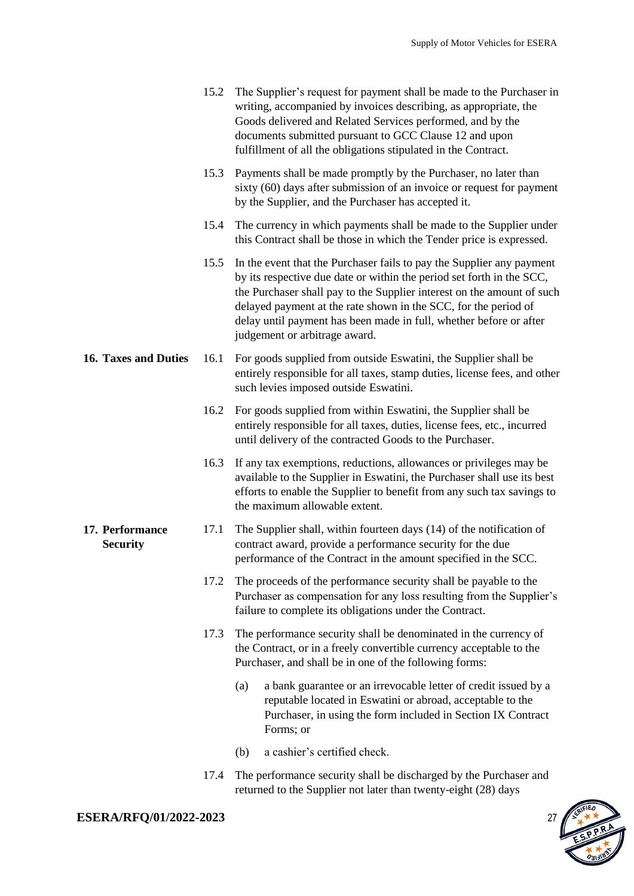| 15.2 The Supplier's request for payment shall be made to the Purchaser in |
|---------------------------------------------------------------------------|
| writing, accompanied by invoices describing, as appropriate, the          |
| Goods delivered and Related Services performed, and by the                |
| documents submitted pursuant to GCC Clause 12 and upon                    |
| fulfillment of all the obligations stipulated in the Contract.            |
|                                                                           |

- 15.3 Payments shall be made promptly by the Purchaser, no later than sixty (60) days after submission of an invoice or request for payment by the Supplier, and the Purchaser has accepted it.
- 15.4 The currency in which payments shall be made to the Supplier under this Contract shall be those in which the Tender price is expressed.
- 15.5 In the event that the Purchaser fails to pay the Supplier any payment by its respective due date or within the period set forth in the SCC, the Purchaser shall pay to the Supplier interest on the amount of such delayed payment at the rate shown in the SCC, for the period of delay until payment has been made in full, whether before or after judgement or arbitrage award.
- **16. Taxes and Duties** 16.1 For goods supplied from outside Eswatini, the Supplier shall be entirely responsible for all taxes, stamp duties, license fees, and other such levies imposed outside Eswatini.
	- 16.2 For goods supplied from within Eswatini, the Supplier shall be entirely responsible for all taxes, duties, license fees, etc., incurred until delivery of the contracted Goods to the Purchaser.
	- 16.3 If any tax exemptions, reductions, allowances or privileges may be available to the Supplier in Eswatini, the Purchaser shall use its best efforts to enable the Supplier to benefit from any such tax savings to the maximum allowable extent.
- **17. Performance**  17.1 The Supplier shall, within fourteen days (14) of the notification of contract award, provide a performance security for the due performance of the Contract in the amount specified in the SCC.
	- 17.2 The proceeds of the performance security shall be payable to the Purchaser as compensation for any loss resulting from the Supplier's failure to complete its obligations under the Contract.
	- 17.3 The performance security shall be denominated in the currency of the Contract, or in a freely convertible currency acceptable to the Purchaser, and shall be in one of the following forms:
		- (a) a bank guarantee or an irrevocable letter of credit issued by a reputable located in Eswatini or abroad, acceptable to the Purchaser, in using the form included in Section IX Contract Forms; or
		- (b) a cashier's certified check.
	- 17.4 The performance security shall be discharged by the Purchaser and returned to the Supplier not later than twenty-eight (28) days



**ESERA/RFQ/01/2022-2023** 

**Security**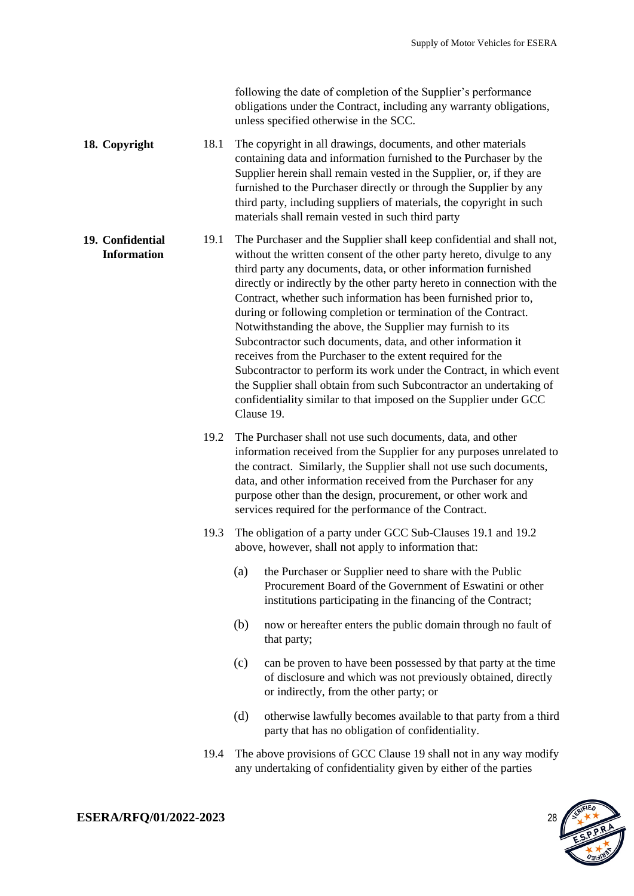following the date of completion of the Supplier's performance obligations under the Contract, including any warranty obligations, unless specified otherwise in the SCC.

- **18. Copyright** 18.1 The copyright in all drawings, documents, and other materials containing data and information furnished to the Purchaser by the Supplier herein shall remain vested in the Supplier, or, if they are furnished to the Purchaser directly or through the Supplier by any third party, including suppliers of materials, the copyright in such materials shall remain vested in such third party
- **19. Confidential Information** 19.1 The Purchaser and the Supplier shall keep confidential and shall not, without the written consent of the other party hereto, divulge to any third party any documents, data, or other information furnished directly or indirectly by the other party hereto in connection with the Contract, whether such information has been furnished prior to, during or following completion or termination of the Contract. Notwithstanding the above, the Supplier may furnish to its Subcontractor such documents, data, and other information it receives from the Purchaser to the extent required for the Subcontractor to perform its work under the Contract, in which event the Supplier shall obtain from such Subcontractor an undertaking of confidentiality similar to that imposed on the Supplier under GCC Clause 19.
	- 19.2 The Purchaser shall not use such documents, data, and other information received from the Supplier for any purposes unrelated to the contract. Similarly, the Supplier shall not use such documents, data, and other information received from the Purchaser for any purpose other than the design, procurement, or other work and services required for the performance of the Contract.
	- 19.3 The obligation of a party under GCC Sub-Clauses 19.1 and 19.2 above, however, shall not apply to information that:
		- (a) the Purchaser or Supplier need to share with the Public Procurement Board of the Government of Eswatini or other institutions participating in the financing of the Contract;
		- (b) now or hereafter enters the public domain through no fault of that party;
		- (c) can be proven to have been possessed by that party at the time of disclosure and which was not previously obtained, directly or indirectly, from the other party; or
		- (d) otherwise lawfully becomes available to that party from a third party that has no obligation of confidentiality.
	- 19.4 The above provisions of GCC Clause 19 shall not in any way modify any undertaking of confidentiality given by either of the parties

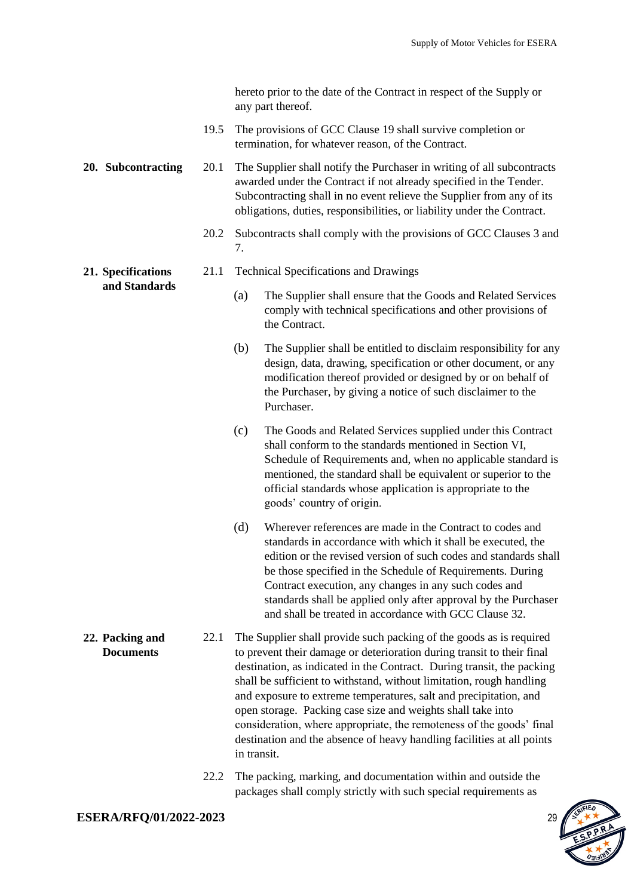hereto prior to the date of the Contract in respect of the Supply or any part thereof.

- 19.5 The provisions of GCC Clause 19 shall survive completion or termination, for whatever reason, of the Contract.
- **20. Subcontracting** 20.1 The Supplier shall notify the Purchaser in writing of all subcontracts awarded under the Contract if not already specified in the Tender. Subcontracting shall in no event relieve the Supplier from any of its obligations, duties, responsibilities, or liability under the Contract.
	- 20.2 Subcontracts shall comply with the provisions of GCC Clauses 3 and 7.

#### 21.1 Technical Specifications and Drawings

- (a) The Supplier shall ensure that the Goods and Related Services comply with technical specifications and other provisions of the Contract.
- (b) The Supplier shall be entitled to disclaim responsibility for any design, data, drawing, specification or other document, or any modification thereof provided or designed by or on behalf of the Purchaser, by giving a notice of such disclaimer to the Purchaser.
- (c) The Goods and Related Services supplied under this Contract shall conform to the standards mentioned in Section VI, Schedule of Requirements and, when no applicable standard is mentioned, the standard shall be equivalent or superior to the official standards whose application is appropriate to the goods' country of origin.
- (d) Wherever references are made in the Contract to codes and standards in accordance with which it shall be executed, the edition or the revised version of such codes and standards shall be those specified in the Schedule of Requirements. During Contract execution, any changes in any such codes and standards shall be applied only after approval by the Purchaser and shall be treated in accordance with GCC Clause 32.
- **22. Packing and Documents** 22.1 The Supplier shall provide such packing of the goods as is required to prevent their damage or deterioration during transit to their final destination, as indicated in the Contract. During transit, the packing shall be sufficient to withstand, without limitation, rough handling and exposure to extreme temperatures, salt and precipitation, and open storage. Packing case size and weights shall take into consideration, where appropriate, the remoteness of the goods' final destination and the absence of heavy handling facilities at all points in transit.
	- 22.2 The packing, marking, and documentation within and outside the packages shall comply strictly with such special requirements as



**ESERA/RFQ/01/2022-2023** 

**21. Specifications and Standards**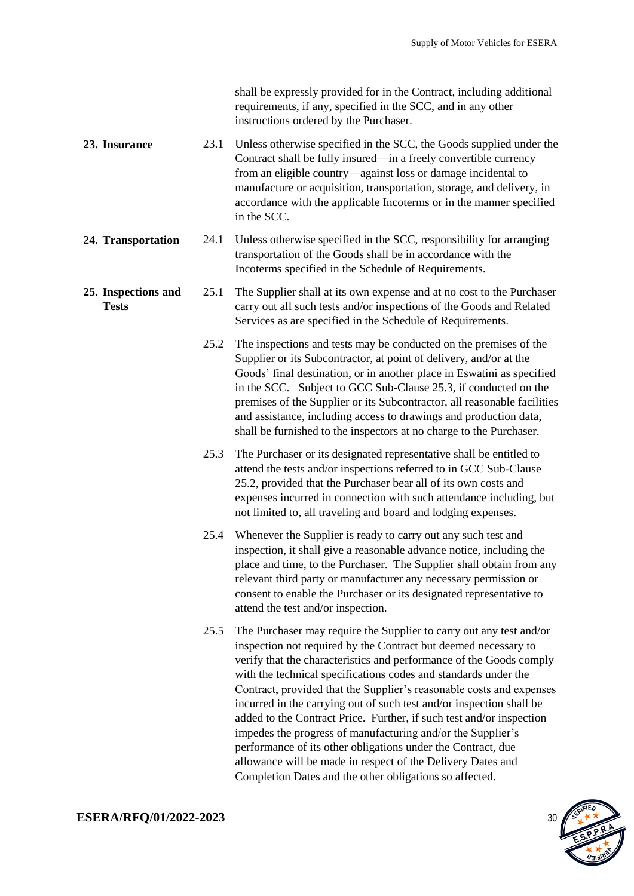shall be expressly provided for in the Contract, including additional requirements, if any, specified in the SCC, and in any other instructions ordered by the Purchaser.

- **23. Insurance** 23.1 Unless otherwise specified in the SCC, the Goods supplied under the Contract shall be fully insured—in a freely convertible currency from an eligible country—against loss or damage incidental to manufacture or acquisition, transportation, storage, and delivery, in accordance with the applicable Incoterms or in the manner specified in the SCC.
- **24. Transportation** 24.1 Unless otherwise specified in the SCC, responsibility for arranging transportation of the Goods shall be in accordance with the Incoterms specified in the Schedule of Requirements.
- **25. Inspections and Tests** 25.1 The Supplier shall at its own expense and at no cost to the Purchaser carry out all such tests and/or inspections of the Goods and Related Services as are specified in the Schedule of Requirements.
	- 25.2 The inspections and tests may be conducted on the premises of the Supplier or its Subcontractor, at point of delivery, and/or at the Goods' final destination, or in another place in Eswatini as specified in the SCC. Subject to GCC Sub-Clause 25.3, if conducted on the premises of the Supplier or its Subcontractor, all reasonable facilities and assistance, including access to drawings and production data, shall be furnished to the inspectors at no charge to the Purchaser.
	- 25.3 The Purchaser or its designated representative shall be entitled to attend the tests and/or inspections referred to in GCC Sub-Clause 25.2, provided that the Purchaser bear all of its own costs and expenses incurred in connection with such attendance including, but not limited to, all traveling and board and lodging expenses.
	- 25.4 Whenever the Supplier is ready to carry out any such test and inspection, it shall give a reasonable advance notice, including the place and time, to the Purchaser. The Supplier shall obtain from any relevant third party or manufacturer any necessary permission or consent to enable the Purchaser or its designated representative to attend the test and/or inspection.
	- 25.5 The Purchaser may require the Supplier to carry out any test and/or inspection not required by the Contract but deemed necessary to verify that the characteristics and performance of the Goods comply with the technical specifications codes and standards under the Contract, provided that the Supplier's reasonable costs and expenses incurred in the carrying out of such test and/or inspection shall be added to the Contract Price. Further, if such test and/or inspection impedes the progress of manufacturing and/or the Supplier's performance of its other obligations under the Contract, due allowance will be made in respect of the Delivery Dates and Completion Dates and the other obligations so affected.

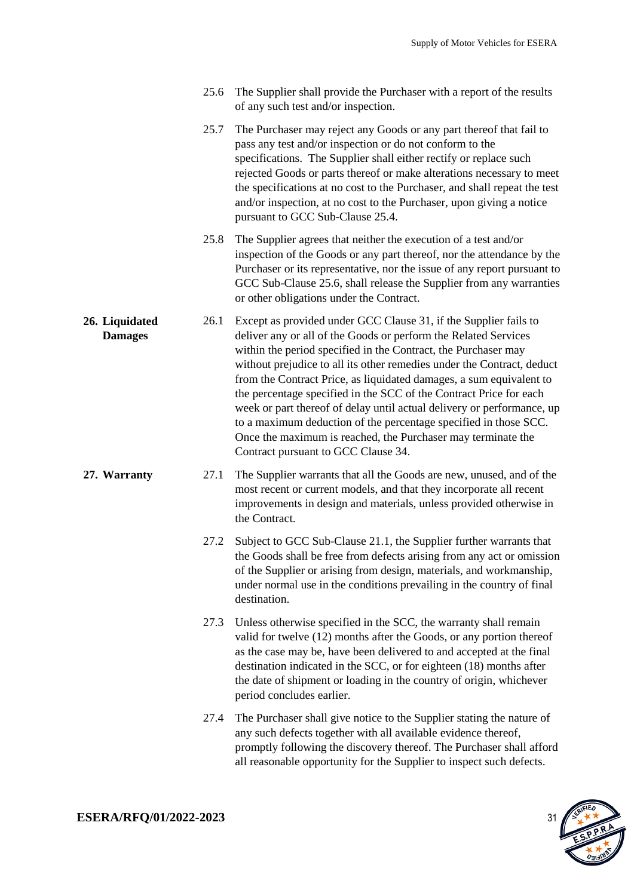|                                  | 25.6 | The Supplier shall provide the Purchaser with a report of the results<br>of any such test and/or inspection.                                                                                                                                                                                                                                                                                                                                                                                                                                                                                                                                                                      |
|----------------------------------|------|-----------------------------------------------------------------------------------------------------------------------------------------------------------------------------------------------------------------------------------------------------------------------------------------------------------------------------------------------------------------------------------------------------------------------------------------------------------------------------------------------------------------------------------------------------------------------------------------------------------------------------------------------------------------------------------|
|                                  | 25.7 | The Purchaser may reject any Goods or any part thereof that fail to<br>pass any test and/or inspection or do not conform to the<br>specifications. The Supplier shall either rectify or replace such<br>rejected Goods or parts thereof or make alterations necessary to meet<br>the specifications at no cost to the Purchaser, and shall repeat the test<br>and/or inspection, at no cost to the Purchaser, upon giving a notice<br>pursuant to GCC Sub-Clause 25.4.                                                                                                                                                                                                            |
|                                  | 25.8 | The Supplier agrees that neither the execution of a test and/or<br>inspection of the Goods or any part thereof, nor the attendance by the<br>Purchaser or its representative, nor the issue of any report pursuant to<br>GCC Sub-Clause 25.6, shall release the Supplier from any warranties<br>or other obligations under the Contract.                                                                                                                                                                                                                                                                                                                                          |
| 26. Liquidated<br><b>Damages</b> | 26.1 | Except as provided under GCC Clause 31, if the Supplier fails to<br>deliver any or all of the Goods or perform the Related Services<br>within the period specified in the Contract, the Purchaser may<br>without prejudice to all its other remedies under the Contract, deduct<br>from the Contract Price, as liquidated damages, a sum equivalent to<br>the percentage specified in the SCC of the Contract Price for each<br>week or part thereof of delay until actual delivery or performance, up<br>to a maximum deduction of the percentage specified in those SCC.<br>Once the maximum is reached, the Purchaser may terminate the<br>Contract pursuant to GCC Clause 34. |
| 27. Warranty                     | 27.1 | The Supplier warrants that all the Goods are new, unused, and of the<br>most recent or current models, and that they incorporate all recent<br>improvements in design and materials, unless provided otherwise in<br>the Contract.                                                                                                                                                                                                                                                                                                                                                                                                                                                |
|                                  | 27.2 | Subject to GCC Sub-Clause 21.1, the Supplier further warrants that<br>the Goods shall be free from defects arising from any act or omission<br>of the Supplier or arising from design, materials, and workmanship,<br>under normal use in the conditions prevailing in the country of final<br>destination.                                                                                                                                                                                                                                                                                                                                                                       |
|                                  | 27.3 | Unless otherwise specified in the SCC, the warranty shall remain<br>valid for twelve (12) months after the Goods, or any portion thereof<br>as the case may be, have been delivered to and accepted at the final<br>destination indicated in the SCC, or for eighteen (18) months after<br>the date of shipment or loading in the country of origin, whichever<br>period concludes earlier.                                                                                                                                                                                                                                                                                       |
|                                  | 27.4 | The Purchaser shall give notice to the Supplier stating the nature of<br>any such defects together with all available evidence thereof,<br>promptly following the discovery thereof. The Purchaser shall afford<br>all reasonable opportunity for the Supplier to inspect such defects.                                                                                                                                                                                                                                                                                                                                                                                           |

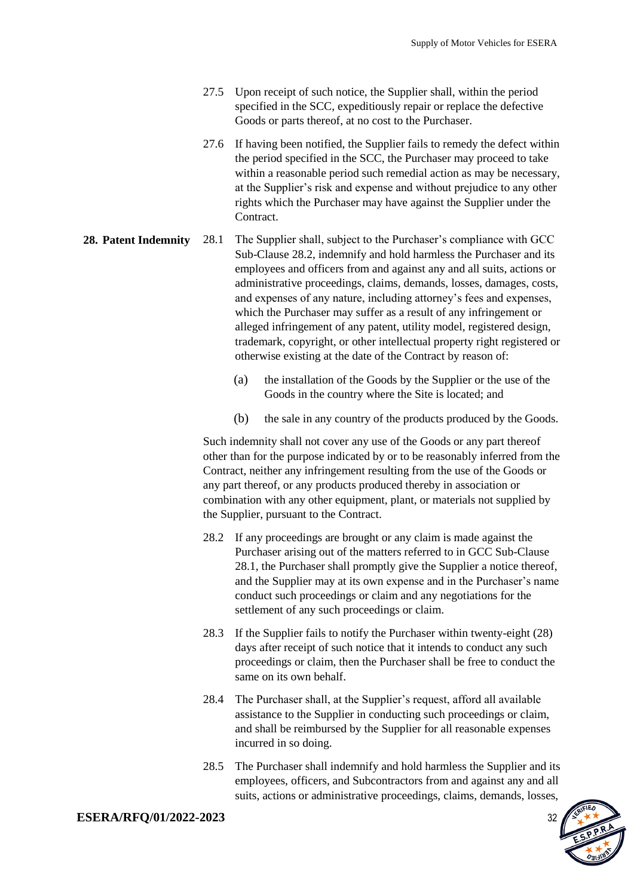- 27.5 Upon receipt of such notice, the Supplier shall, within the period specified in the SCC, expeditiously repair or replace the defective Goods or parts thereof, at no cost to the Purchaser.
- 27.6 If having been notified, the Supplier fails to remedy the defect within the period specified in the SCC, the Purchaser may proceed to take within a reasonable period such remedial action as may be necessary, at the Supplier's risk and expense and without prejudice to any other rights which the Purchaser may have against the Supplier under the Contract.

## **28. Patent Indemnity** 28.1 The Supplier shall, subject to the Purchaser's compliance with GCC Sub-Clause 28.2, indemnify and hold harmless the Purchaser and its employees and officers from and against any and all suits, actions or administrative proceedings, claims, demands, losses, damages, costs, and expenses of any nature, including attorney's fees and expenses, which the Purchaser may suffer as a result of any infringement or alleged infringement of any patent, utility model, registered design, trademark, copyright, or other intellectual property right registered or otherwise existing at the date of the Contract by reason of:

- (a) the installation of the Goods by the Supplier or the use of the Goods in the country where the Site is located; and
- (b) the sale in any country of the products produced by the Goods.

Such indemnity shall not cover any use of the Goods or any part thereof other than for the purpose indicated by or to be reasonably inferred from the Contract, neither any infringement resulting from the use of the Goods or any part thereof, or any products produced thereby in association or combination with any other equipment, plant, or materials not supplied by the Supplier, pursuant to the Contract.

- 28.2 If any proceedings are brought or any claim is made against the Purchaser arising out of the matters referred to in GCC Sub-Clause 28.1, the Purchaser shall promptly give the Supplier a notice thereof, and the Supplier may at its own expense and in the Purchaser's name conduct such proceedings or claim and any negotiations for the settlement of any such proceedings or claim.
- 28.3 If the Supplier fails to notify the Purchaser within twenty-eight (28) days after receipt of such notice that it intends to conduct any such proceedings or claim, then the Purchaser shall be free to conduct the same on its own behalf.
- 28.4 The Purchaser shall, at the Supplier's request, afford all available assistance to the Supplier in conducting such proceedings or claim, and shall be reimbursed by the Supplier for all reasonable expenses incurred in so doing.
- 28.5 The Purchaser shall indemnify and hold harmless the Supplier and its employees, officers, and Subcontractors from and against any and all suits, actions or administrative proceedings, claims, demands, losses,

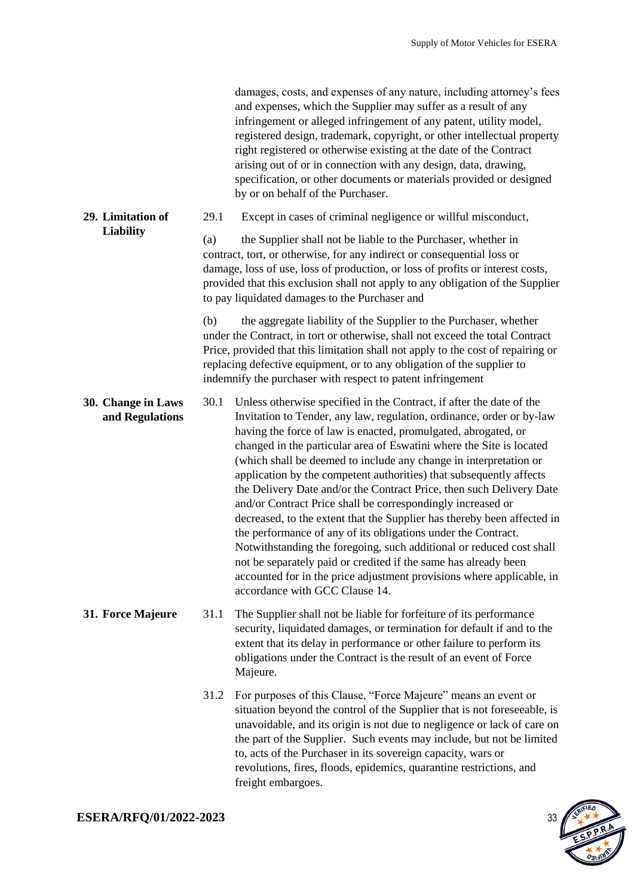damages, costs, and expenses of any nature, including attorney's fees and expenses, which the Supplier may suffer as a result of any infringement or alleged infringement of any patent, utility model, registered design, trademark, copyright, or other intellectual property right registered or otherwise existing at the date of the Contract arising out of or in connection with any design, data, drawing, specification, or other documents or materials provided or designed by or on behalf of the Purchaser.

#### **29. Limitation of Liability**

29.1 Except in cases of criminal negligence or willful misconduct,

(a) the Supplier shall not be liable to the Purchaser, whether in contract, tort, or otherwise, for any indirect or consequential loss or damage, loss of use, loss of production, or loss of profits or interest costs, provided that this exclusion shall not apply to any obligation of the Supplier to pay liquidated damages to the Purchaser and

(b) the aggregate liability of the Supplier to the Purchaser, whether under the Contract, in tort or otherwise, shall not exceed the total Contract Price, provided that this limitation shall not apply to the cost of repairing or replacing defective equipment, or to any obligation of the supplier to indemnify the purchaser with respect to patent infringement

**30. Change in Laws and Regulations** 30.1 Unless otherwise specified in the Contract, if after the date of the Invitation to Tender, any law, regulation, ordinance, order or by-law having the force of law is enacted, promulgated, abrogated, or changed in the particular area of Eswatini where the Site is located (which shall be deemed to include any change in interpretation or application by the competent authorities) that subsequently affects the Delivery Date and/or the Contract Price, then such Delivery Date and/or Contract Price shall be correspondingly increased or decreased, to the extent that the Supplier has thereby been affected in the performance of any of its obligations under the Contract. Notwithstanding the foregoing, such additional or reduced cost shall not be separately paid or credited if the same has already been accounted for in the price adjustment provisions where applicable, in accordance with GCC Clause 14.

**31. Force Majeure** 31.1 The Supplier shall not be liable for forfeiture of its performance security, liquidated damages, or termination for default if and to the extent that its delay in performance or other failure to perform its obligations under the Contract is the result of an event of Force Majeure.

> 31.2 For purposes of this Clause, "Force Majeure" means an event or situation beyond the control of the Supplier that is not foreseeable, is unavoidable, and its origin is not due to negligence or lack of care on the part of the Supplier. Such events may include, but not be limited to, acts of the Purchaser in its sovereign capacity, wars or revolutions, fires, floods, epidemics, quarantine restrictions, and freight embargoes.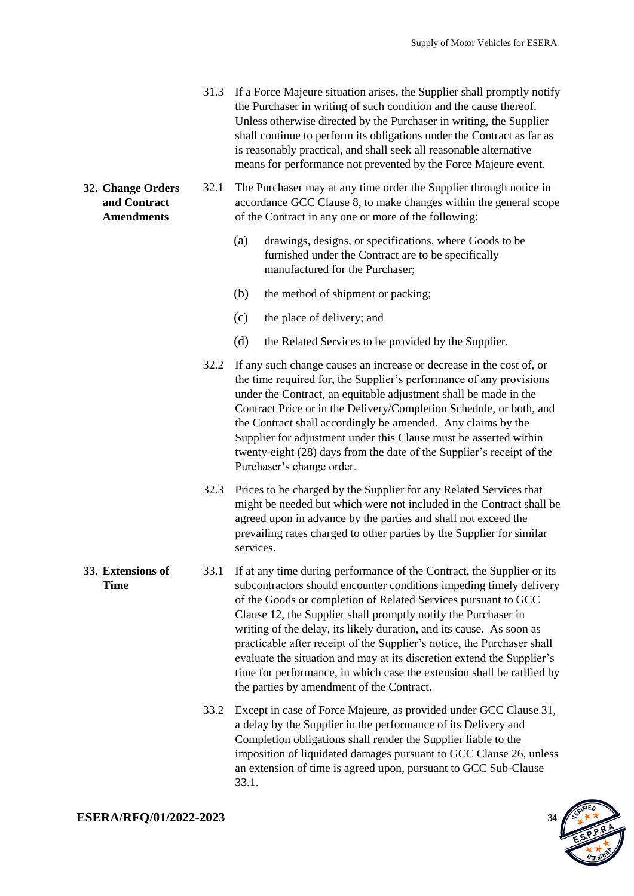- 31.3 If a Force Majeure situation arises, the Supplier shall promptly notify the Purchaser in writing of such condition and the cause thereof. Unless otherwise directed by the Purchaser in writing, the Supplier shall continue to perform its obligations under the Contract as far as is reasonably practical, and shall seek all reasonable alternative means for performance not prevented by the Force Majeure event.
- 32.1 The Purchaser may at any time order the Supplier through notice in accordance GCC Clause 8, to make changes within the general scope of the Contract in any one or more of the following:
	- (a) drawings, designs, or specifications, where Goods to be furnished under the Contract are to be specifically manufactured for the Purchaser;
	- (b) the method of shipment or packing;
	- (c) the place of delivery; and
	- (d) the Related Services to be provided by the Supplier.
	- 32.2 If any such change causes an increase or decrease in the cost of, or the time required for, the Supplier's performance of any provisions under the Contract, an equitable adjustment shall be made in the Contract Price or in the Delivery/Completion Schedule, or both, and the Contract shall accordingly be amended. Any claims by the Supplier for adjustment under this Clause must be asserted within twenty-eight (28) days from the date of the Supplier's receipt of the Purchaser's change order.
	- 32.3 Prices to be charged by the Supplier for any Related Services that might be needed but which were not included in the Contract shall be agreed upon in advance by the parties and shall not exceed the prevailing rates charged to other parties by the Supplier for similar services.
- **33. Extensions of**  33.1 If at any time during performance of the Contract, the Supplier or its subcontractors should encounter conditions impeding timely delivery of the Goods or completion of Related Services pursuant to GCC Clause 12, the Supplier shall promptly notify the Purchaser in writing of the delay, its likely duration, and its cause. As soon as practicable after receipt of the Supplier's notice, the Purchaser shall evaluate the situation and may at its discretion extend the Supplier's time for performance, in which case the extension shall be ratified by the parties by amendment of the Contract.
	- 33.2 Except in case of Force Majeure, as provided under GCC Clause 31, a delay by the Supplier in the performance of its Delivery and Completion obligations shall render the Supplier liable to the imposition of liquidated damages pursuant to GCC Clause 26, unless an extension of time is agreed upon, pursuant to GCC Sub-Clause 33.1.



#### **ESERA/RFQ/01/2022-2023**

**Time**

**32. Change Orders and Contract Amendments**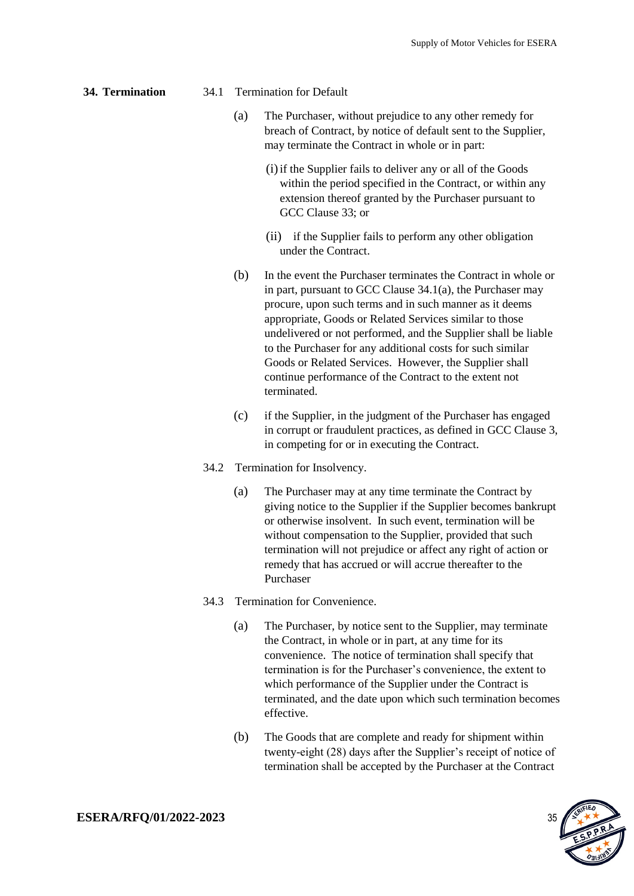#### **34. Termination** 34.1 Termination for Default

- (a) The Purchaser, without prejudice to any other remedy for breach of Contract, by notice of default sent to the Supplier, may terminate the Contract in whole or in part:
	- (i)if the Supplier fails to deliver any or all of the Goods within the period specified in the Contract, or within any extension thereof granted by the Purchaser pursuant to GCC Clause 33; or
	- (ii) if the Supplier fails to perform any other obligation under the Contract.
- (b) In the event the Purchaser terminates the Contract in whole or in part, pursuant to GCC Clause 34.1(a), the Purchaser may procure, upon such terms and in such manner as it deems appropriate, Goods or Related Services similar to those undelivered or not performed, and the Supplier shall be liable to the Purchaser for any additional costs for such similar Goods or Related Services. However, the Supplier shall continue performance of the Contract to the extent not terminated.
- (c) if the Supplier, in the judgment of the Purchaser has engaged in corrupt or fraudulent practices, as defined in GCC Clause 3, in competing for or in executing the Contract.
- 34.2 Termination for Insolvency.
	- (a) The Purchaser may at any time terminate the Contract by giving notice to the Supplier if the Supplier becomes bankrupt or otherwise insolvent. In such event, termination will be without compensation to the Supplier, provided that such termination will not prejudice or affect any right of action or remedy that has accrued or will accrue thereafter to the Purchaser
- 34.3 Termination for Convenience.
	- (a) The Purchaser, by notice sent to the Supplier, may terminate the Contract, in whole or in part, at any time for its convenience. The notice of termination shall specify that termination is for the Purchaser's convenience, the extent to which performance of the Supplier under the Contract is terminated, and the date upon which such termination becomes effective.
	- (b) The Goods that are complete and ready for shipment within twenty-eight (28) days after the Supplier's receipt of notice of termination shall be accepted by the Purchaser at the Contract

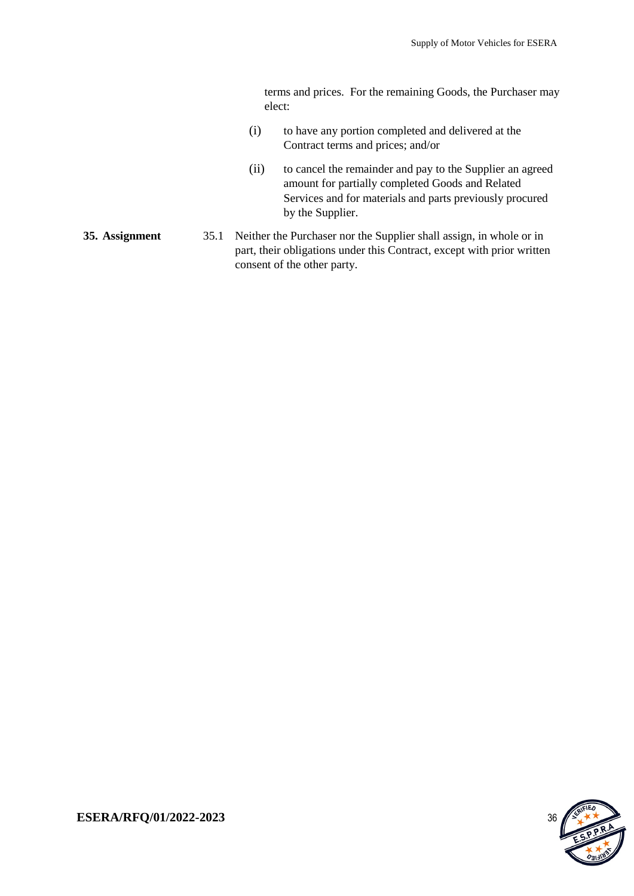terms and prices. For the remaining Goods, the Purchaser may elect:

- (i) to have any portion completed and delivered at the Contract terms and prices; and/or
- (ii) to cancel the remainder and pay to the Supplier an agreed amount for partially completed Goods and Related Services and for materials and parts previously procured by the Supplier.
- **35. Assignment** 35.1 Neither the Purchaser nor the Supplier shall assign, in whole or in part, their obligations under this Contract, except with prior written consent of the other party.

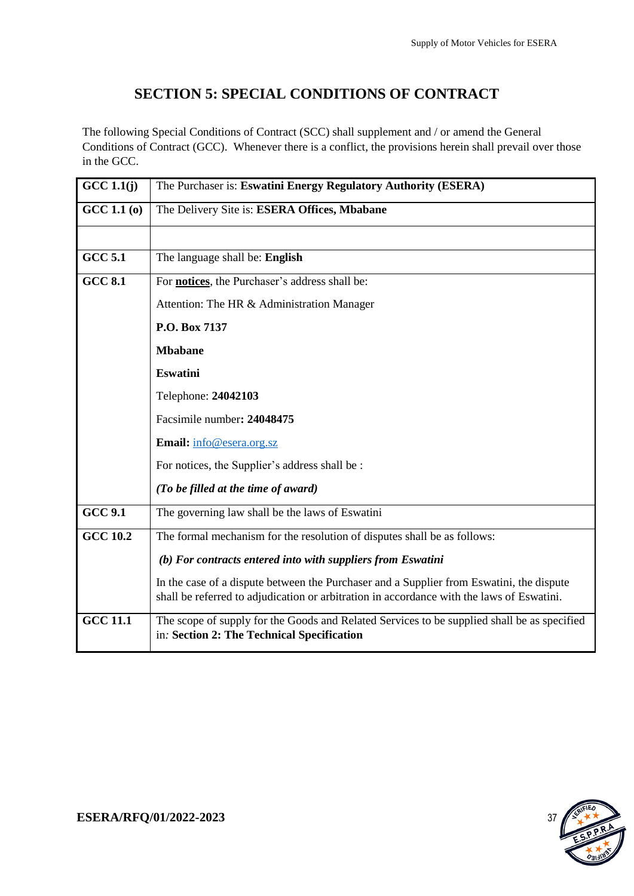# **SECTION 5: SPECIAL CONDITIONS OF CONTRACT**

<span id="page-36-0"></span>The following Special Conditions of Contract (SCC) shall supplement and / or amend the General Conditions of Contract (GCC). Whenever there is a conflict, the provisions herein shall prevail over those in the GCC.

| $\overline{GCC\ 1.1(j)}$ | The Purchaser is: Eswatini Energy Regulatory Authority (ESERA)                                                                                                                        |  |  |  |
|--------------------------|---------------------------------------------------------------------------------------------------------------------------------------------------------------------------------------|--|--|--|
| GCC 1.1(0)               | The Delivery Site is: ESERA Offices, Mbabane                                                                                                                                          |  |  |  |
|                          |                                                                                                                                                                                       |  |  |  |
| $GCC$ 5.1                | The language shall be: English                                                                                                                                                        |  |  |  |
| <b>GCC 8.1</b>           | For notices, the Purchaser's address shall be:                                                                                                                                        |  |  |  |
|                          | Attention: The HR & Administration Manager                                                                                                                                            |  |  |  |
|                          | P.O. Box 7137                                                                                                                                                                         |  |  |  |
|                          | <b>Mbabane</b>                                                                                                                                                                        |  |  |  |
|                          | <b>Eswatini</b>                                                                                                                                                                       |  |  |  |
|                          | Telephone: 24042103                                                                                                                                                                   |  |  |  |
|                          | Facsimile number: 24048475                                                                                                                                                            |  |  |  |
|                          | Email: info@esera.org.sz                                                                                                                                                              |  |  |  |
|                          | For notices, the Supplier's address shall be :                                                                                                                                        |  |  |  |
|                          | (To be filled at the time of award)                                                                                                                                                   |  |  |  |
| $GCC$ 9.1                | The governing law shall be the laws of Eswatini                                                                                                                                       |  |  |  |
| <b>GCC 10.2</b>          | The formal mechanism for the resolution of disputes shall be as follows:                                                                                                              |  |  |  |
|                          | (b) For contracts entered into with suppliers from Eswatini                                                                                                                           |  |  |  |
|                          | In the case of a dispute between the Purchaser and a Supplier from Eswatini, the dispute<br>shall be referred to adjudication or arbitration in accordance with the laws of Eswatini. |  |  |  |
| <b>GCC 11.1</b>          | The scope of supply for the Goods and Related Services to be supplied shall be as specified<br>in: Section 2: The Technical Specification                                             |  |  |  |

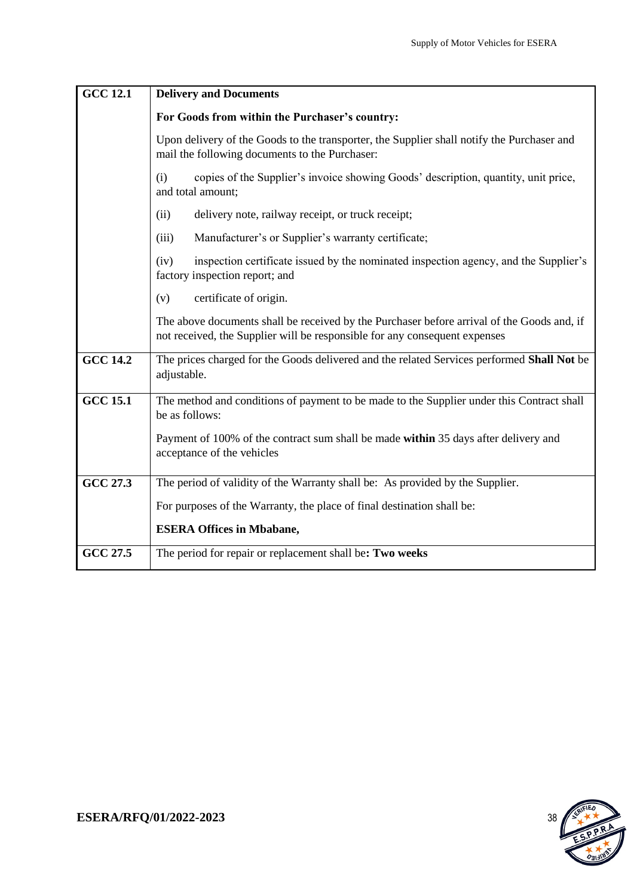| <b>GCC 12.1</b> | <b>Delivery and Documents</b>                                                                                                                                            |  |  |
|-----------------|--------------------------------------------------------------------------------------------------------------------------------------------------------------------------|--|--|
|                 | For Goods from within the Purchaser's country:                                                                                                                           |  |  |
|                 | Upon delivery of the Goods to the transporter, the Supplier shall notify the Purchaser and<br>mail the following documents to the Purchaser:                             |  |  |
|                 | copies of the Supplier's invoice showing Goods' description, quantity, unit price,<br>(i)<br>and total amount;                                                           |  |  |
|                 | delivery note, railway receipt, or truck receipt;<br>(ii)                                                                                                                |  |  |
|                 | Manufacturer's or Supplier's warranty certificate;<br>(iii)                                                                                                              |  |  |
|                 | inspection certificate issued by the nominated inspection agency, and the Supplier's<br>(iv)<br>factory inspection report; and                                           |  |  |
|                 | certificate of origin.<br>(v)                                                                                                                                            |  |  |
|                 | The above documents shall be received by the Purchaser before arrival of the Goods and, if<br>not received, the Supplier will be responsible for any consequent expenses |  |  |
| <b>GCC 14.2</b> | The prices charged for the Goods delivered and the related Services performed Shall Not be<br>adjustable.                                                                |  |  |
| <b>GCC 15.1</b> | The method and conditions of payment to be made to the Supplier under this Contract shall<br>be as follows:                                                              |  |  |
|                 | Payment of 100% of the contract sum shall be made within 35 days after delivery and<br>acceptance of the vehicles                                                        |  |  |
| <b>GCC 27.3</b> | The period of validity of the Warranty shall be: As provided by the Supplier.                                                                                            |  |  |
|                 | For purposes of the Warranty, the place of final destination shall be:                                                                                                   |  |  |
|                 | <b>ESERA Offices in Mbabane,</b>                                                                                                                                         |  |  |
| GCC 27.5        | The period for repair or replacement shall be: Two weeks                                                                                                                 |  |  |

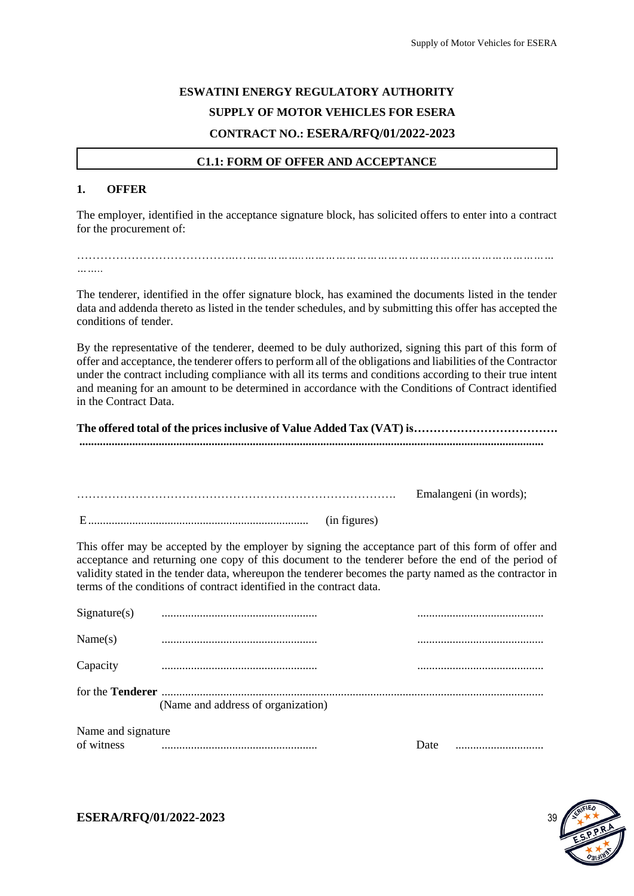# **ESWATINI ENERGY REGULATORY AUTHORITY SUPPLY OF MOTOR VEHICLES FOR ESERA CONTRACT NO.: ESERA/RFQ/01/2022-2023**

## **C1.1: FORM OF OFFER AND ACCEPTANCE**

#### <span id="page-38-0"></span>**1. OFFER**

The employer, identified in the acceptance signature block, has solicited offers to enter into a contract for the procurement of:

…………………………………..…*……………..……………………………………………………………… ……..*

The tenderer, identified in the offer signature block, has examined the documents listed in the tender data and addenda thereto as listed in the tender schedules, and by submitting this offer has accepted the conditions of tender.

By the representative of the tenderer, deemed to be duly authorized, signing this part of this form of offer and acceptance, the tenderer offers to perform all of the obligations and liabilities of the Contractor under the contract including compliance with all its terms and conditions according to their true intent and meaning for an amount to be determined in accordance with the Conditions of Contract identified in the Contract Data.

………………………………………………………………………. Emalangeni (in words);

E........................................................................... (in figures)

This offer may be accepted by the employer by signing the acceptance part of this form of offer and acceptance and returning one copy of this document to the tenderer before the end of the period of validity stated in the tender data, whereupon the tenderer becomes the party named as the contractor in terms of the conditions of contract identified in the contract data.

| Signature(s)       |                                    |      |  |  |  |  |
|--------------------|------------------------------------|------|--|--|--|--|
| Name(s)            |                                    |      |  |  |  |  |
| Capacity           |                                    |      |  |  |  |  |
|                    |                                    |      |  |  |  |  |
|                    | (Name and address of organization) |      |  |  |  |  |
| Name and signature |                                    |      |  |  |  |  |
| of witness         |                                    | Date |  |  |  |  |

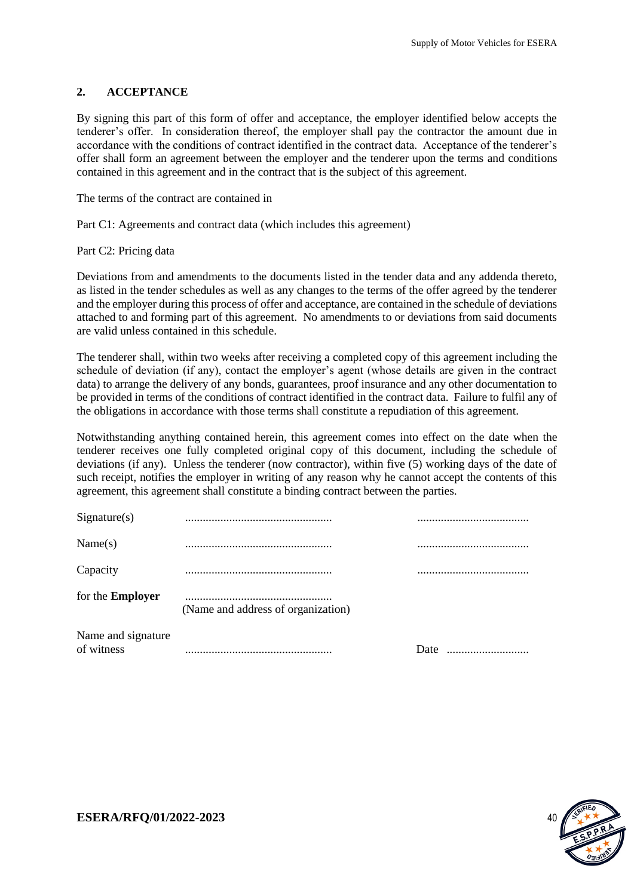#### **2. ACCEPTANCE**

By signing this part of this form of offer and acceptance, the employer identified below accepts the tenderer's offer. In consideration thereof, the employer shall pay the contractor the amount due in accordance with the conditions of contract identified in the contract data. Acceptance of the tenderer's offer shall form an agreement between the employer and the tenderer upon the terms and conditions contained in this agreement and in the contract that is the subject of this agreement.

The terms of the contract are contained in

Part C1: Agreements and contract data (which includes this agreement)

Part C2: Pricing data

Deviations from and amendments to the documents listed in the tender data and any addenda thereto, as listed in the tender schedules as well as any changes to the terms of the offer agreed by the tenderer and the employer during this process of offer and acceptance, are contained in the schedule of deviations attached to and forming part of this agreement. No amendments to or deviations from said documents are valid unless contained in this schedule.

The tenderer shall, within two weeks after receiving a completed copy of this agreement including the schedule of deviation (if any), contact the employer's agent (whose details are given in the contract data) to arrange the delivery of any bonds, guarantees, proof insurance and any other documentation to be provided in terms of the conditions of contract identified in the contract data. Failure to fulfil any of the obligations in accordance with those terms shall constitute a repudiation of this agreement.

Notwithstanding anything contained herein, this agreement comes into effect on the date when the tenderer receives one fully completed original copy of this document, including the schedule of deviations (if any). Unless the tenderer (now contractor), within five (5) working days of the date of such receipt, notifies the employer in writing of any reason why he cannot accept the contents of this agreement, this agreement shall constitute a binding contract between the parties.

| Sigma(s)                         |                                    |      |
|----------------------------------|------------------------------------|------|
| Name(s)                          |                                    |      |
| Capacity                         |                                    |      |
| for the <b>Employer</b>          | (Name and address of organization) |      |
| Name and signature<br>of witness |                                    | Date |

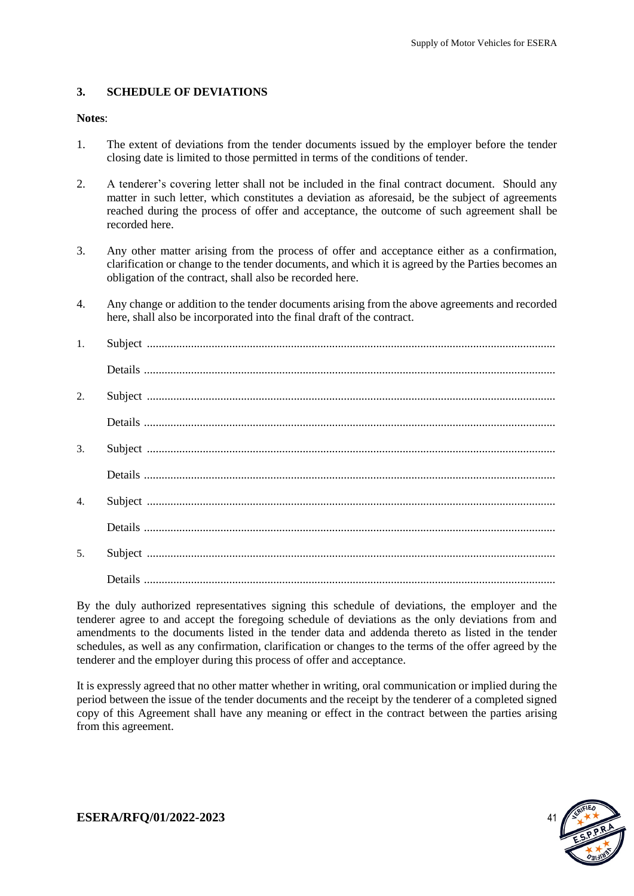#### **3. SCHEDULE OF DEVIATIONS**

#### **Notes**:

- 1. The extent of deviations from the tender documents issued by the employer before the tender closing date is limited to those permitted in terms of the conditions of tender.
- 2. A tenderer's covering letter shall not be included in the final contract document. Should any matter in such letter, which constitutes a deviation as aforesaid, be the subject of agreements reached during the process of offer and acceptance, the outcome of such agreement shall be recorded here.
- 3. Any other matter arising from the process of offer and acceptance either as a confirmation, clarification or change to the tender documents, and which it is agreed by the Parties becomes an obligation of the contract, shall also be recorded here.
- 4. Any change or addition to the tender documents arising from the above agreements and recorded here, shall also be incorporated into the final draft of the contract.

| 1. |  |
|----|--|
|    |  |
| 2. |  |
|    |  |
| 3. |  |
|    |  |
| 4. |  |
|    |  |
| 5. |  |
|    |  |

By the duly authorized representatives signing this schedule of deviations, the employer and the tenderer agree to and accept the foregoing schedule of deviations as the only deviations from and amendments to the documents listed in the tender data and addenda thereto as listed in the tender schedules, as well as any confirmation, clarification or changes to the terms of the offer agreed by the tenderer and the employer during this process of offer and acceptance.

It is expressly agreed that no other matter whether in writing, oral communication or implied during the period between the issue of the tender documents and the receipt by the tenderer of a completed signed copy of this Agreement shall have any meaning or effect in the contract between the parties arising from this agreement.